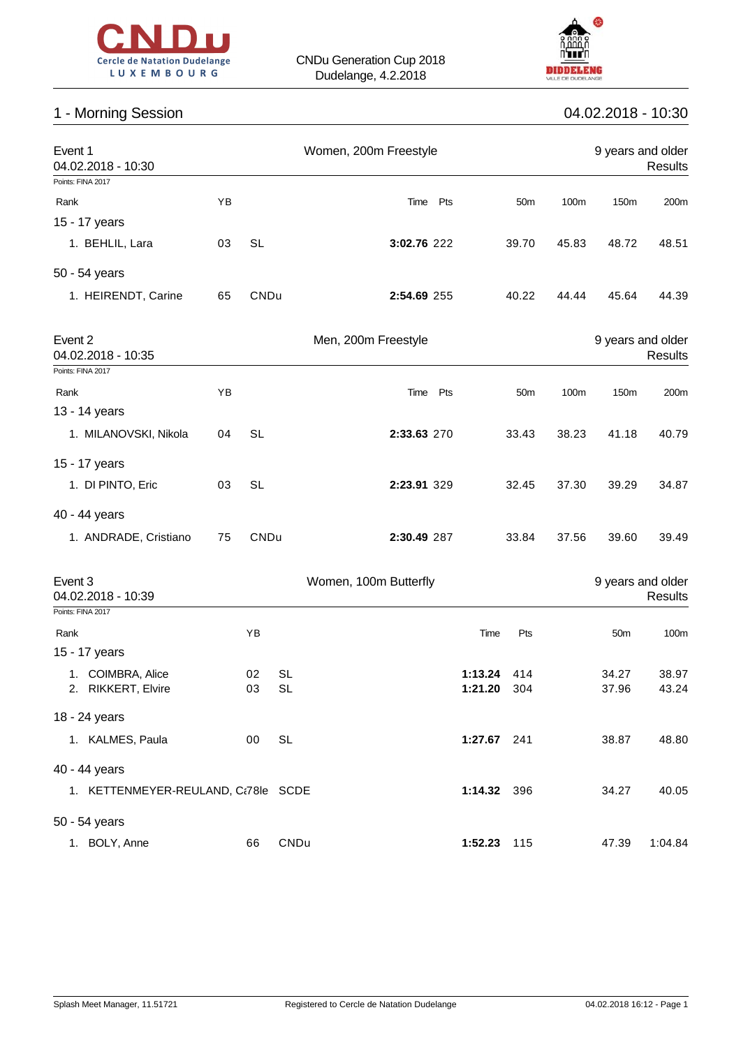



# 1 - Morning Session 04.02.2018 - 10:30

| Event 1<br>04.02.2018 - 10:30           |    |           |                        | Women, 200m Freestyle |             |                        |                 |       |                   | 9 years and older<br>Results |
|-----------------------------------------|----|-----------|------------------------|-----------------------|-------------|------------------------|-----------------|-------|-------------------|------------------------------|
| Points: FINA 2017                       |    |           |                        |                       |             |                        |                 |       |                   |                              |
| Rank                                    | YB |           |                        |                       | Time Pts    |                        | 50 <sub>m</sub> | 100m  | 150m              | 200m                         |
| 15 - 17 years                           |    |           |                        |                       |             |                        |                 |       |                   |                              |
| 1. BEHLIL, Lara                         | 03 | <b>SL</b> |                        |                       | 3:02.76 222 |                        | 39.70           | 45.83 | 48.72             | 48.51                        |
| 50 - 54 years                           |    |           |                        |                       |             |                        |                 |       |                   |                              |
| 1. HEIRENDT, Carine                     | 65 | CNDu      |                        |                       | 2:54.69 255 |                        | 40.22           | 44.44 | 45.64             | 44.39                        |
| Event 2<br>04.02.2018 - 10:35           |    |           |                        | Men, 200m Freestyle   |             |                        |                 |       | 9 years and older | Results                      |
| Points: FINA 2017                       |    |           |                        |                       |             |                        |                 |       |                   |                              |
| Rank                                    | ΥB |           |                        |                       | Time Pts    |                        | 50m             | 100m  | 150m              | 200m                         |
| 13 - 14 years                           |    |           |                        |                       |             |                        |                 |       |                   |                              |
| 1. MILANOVSKI, Nikola                   | 04 | <b>SL</b> |                        |                       | 2:33.63 270 |                        | 33.43           | 38.23 | 41.18             | 40.79                        |
| 15 - 17 years                           |    |           |                        |                       |             |                        |                 |       |                   |                              |
| 1. DI PINTO, Eric                       | 03 | <b>SL</b> |                        |                       | 2:23.91 329 |                        | 32.45           | 37.30 | 39.29             | 34.87                        |
| 40 - 44 years                           |    |           |                        |                       |             |                        |                 |       |                   |                              |
| 1. ANDRADE, Cristiano                   | 75 | CNDu      |                        |                       | 2:30.49 287 |                        | 33.84           | 37.56 | 39.60             | 39.49                        |
| Event 3<br>04.02.2018 - 10:39           |    |           |                        | Women, 100m Butterfly |             |                        |                 |       |                   | 9 years and older<br>Results |
| Points: FINA 2017                       |    |           |                        |                       |             |                        |                 |       |                   |                              |
| Rank                                    |    | ΥB        |                        |                       |             | Time                   | Pts             |       | 50 <sub>m</sub>   | 100m                         |
| 15 - 17 years                           |    |           |                        |                       |             |                        |                 |       |                   |                              |
| 1. COIMBRA, Alice<br>2. RIKKERT, Elvire |    | 02<br>03  | <b>SL</b><br><b>SL</b> |                       |             | 1:13.24<br>1:21.20 304 | 414             |       | 34.27<br>37.96    | 38.97<br>43.24               |
|                                         |    |           |                        |                       |             |                        |                 |       |                   |                              |
| 18 - 24 years                           |    |           |                        |                       |             |                        |                 |       |                   |                              |
| 1. KALMES, Paula                        |    | $00\,$    | <b>SL</b>              |                       |             | 1:27.67 241            |                 |       | 38.87             | 48.80                        |
| 40 - 44 years                           |    |           |                        |                       |             |                        |                 |       |                   |                              |
| 1. KETTENMEYER-REULAND, C:78le SCDE     |    |           |                        |                       |             | 1:14.32 396            |                 |       | 34.27             | 40.05                        |
| 50 - 54 years                           |    |           |                        |                       |             |                        |                 |       |                   |                              |
| 1. BOLY, Anne                           |    | 66        | CNDu                   |                       |             | 1:52.23 115            |                 |       | 47.39             | 1:04.84                      |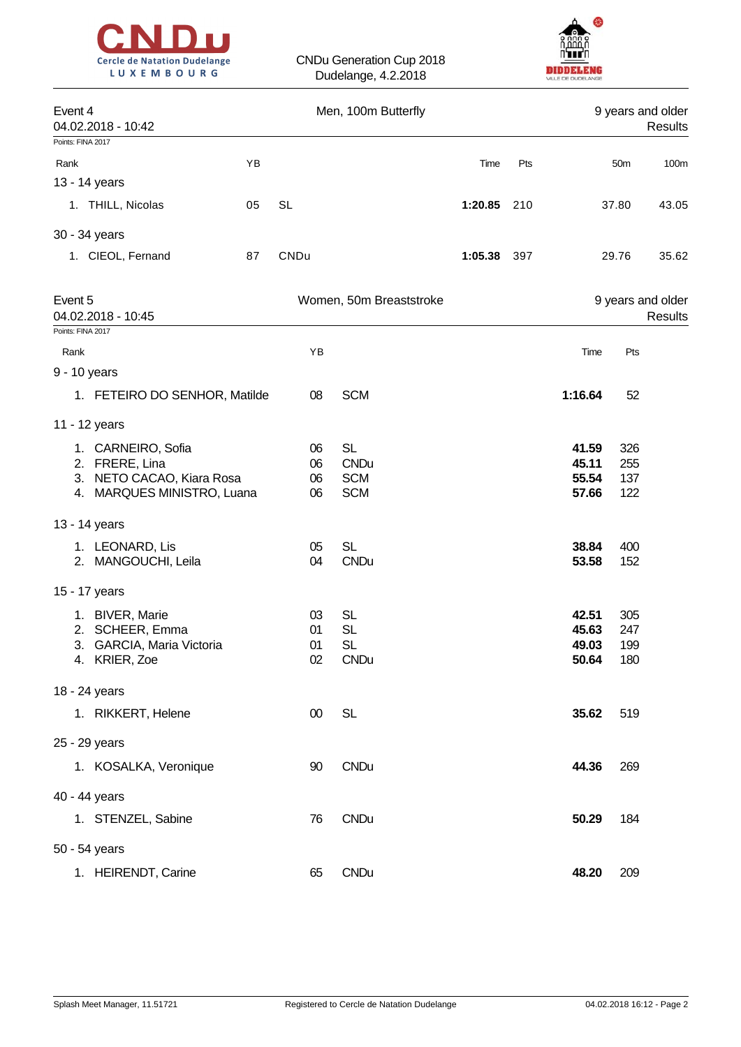



| Event 4<br>04.02.2018 - 10:42                                                                   |    |                      | Men, 100m Butterfly                                  |         |     |                                  |                          | 9 years and older<br>Results |
|-------------------------------------------------------------------------------------------------|----|----------------------|------------------------------------------------------|---------|-----|----------------------------------|--------------------------|------------------------------|
| Points: FINA 2017                                                                               |    |                      |                                                      |         |     |                                  |                          |                              |
| Rank                                                                                            | YB |                      |                                                      | Time    | Pts |                                  | 50 <sub>m</sub>          | 100 <sub>m</sub>             |
| 13 - 14 years                                                                                   |    |                      |                                                      |         |     |                                  |                          |                              |
| 1. THILL, Nicolas                                                                               | 05 | <b>SL</b>            |                                                      | 1:20.85 | 210 |                                  | 37.80                    | 43.05                        |
| 30 - 34 years                                                                                   |    |                      |                                                      |         |     |                                  |                          |                              |
| 1. CIEOL, Fernand                                                                               | 87 | CNDu                 |                                                      | 1:05.38 | 397 |                                  | 29.76                    | 35.62                        |
| Event 5<br>04.02.2018 - 10:45                                                                   |    |                      | Women, 50m Breaststroke                              |         |     |                                  |                          | 9 years and older<br>Results |
| Points: FINA 2017                                                                               |    |                      |                                                      |         |     |                                  |                          |                              |
| Rank                                                                                            |    | YB                   |                                                      |         |     | Time                             | Pts                      |                              |
| 9 - 10 years                                                                                    |    |                      |                                                      |         |     |                                  |                          |                              |
| 1. FETEIRO DO SENHOR, Matilde                                                                   |    | 08                   | <b>SCM</b>                                           |         |     | 1:16.64                          | 52                       |                              |
| 11 - 12 years                                                                                   |    |                      |                                                      |         |     |                                  |                          |                              |
| 1. CARNEIRO, Sofia<br>2. FRERE, Lina<br>3. NETO CACAO, Kiara Rosa<br>4. MARQUES MINISTRO, Luana |    | 06<br>06<br>06<br>06 | <b>SL</b><br><b>CNDu</b><br><b>SCM</b><br><b>SCM</b> |         |     | 41.59<br>45.11<br>55.54<br>57.66 | 326<br>255<br>137<br>122 |                              |
| 13 - 14 years                                                                                   |    |                      |                                                      |         |     |                                  |                          |                              |
| 1. LEONARD, Lis<br>2. MANGOUCHI, Leila                                                          |    | 05<br>04             | <b>SL</b><br><b>CNDu</b>                             |         |     | 38.84<br>53.58                   | 400<br>152               |                              |
| 15 - 17 years                                                                                   |    |                      |                                                      |         |     |                                  |                          |                              |
| 1. BIVER, Marie<br>2. SCHEER, Emma<br>3. GARCIA, Maria Victoria<br>4. KRIER, Zoe                |    | 03<br>01<br>01<br>02 | <b>SL</b><br><b>SL</b><br><b>SL</b><br><b>CNDu</b>   |         |     | 42.51<br>45.63<br>49.03<br>50.64 | 305<br>247<br>199<br>180 |                              |
| 18 - 24 years                                                                                   |    |                      |                                                      |         |     |                                  |                          |                              |
| 1. RIKKERT, Helene                                                                              |    | $00\,$               | <b>SL</b>                                            |         |     | 35.62                            | 519                      |                              |
| 25 - 29 years                                                                                   |    |                      |                                                      |         |     |                                  |                          |                              |
| 1. KOSALKA, Veronique                                                                           |    | 90                   | <b>CNDu</b>                                          |         |     | 44.36                            | 269                      |                              |
| 40 - 44 years                                                                                   |    |                      |                                                      |         |     |                                  |                          |                              |
| 1. STENZEL, Sabine                                                                              |    | 76                   | <b>CNDu</b>                                          |         |     | 50.29                            | 184                      |                              |
| 50 - 54 years                                                                                   |    |                      |                                                      |         |     |                                  |                          |                              |
| 1. HEIRENDT, Carine                                                                             |    | 65                   | <b>CNDu</b>                                          |         |     | 48.20                            | 209                      |                              |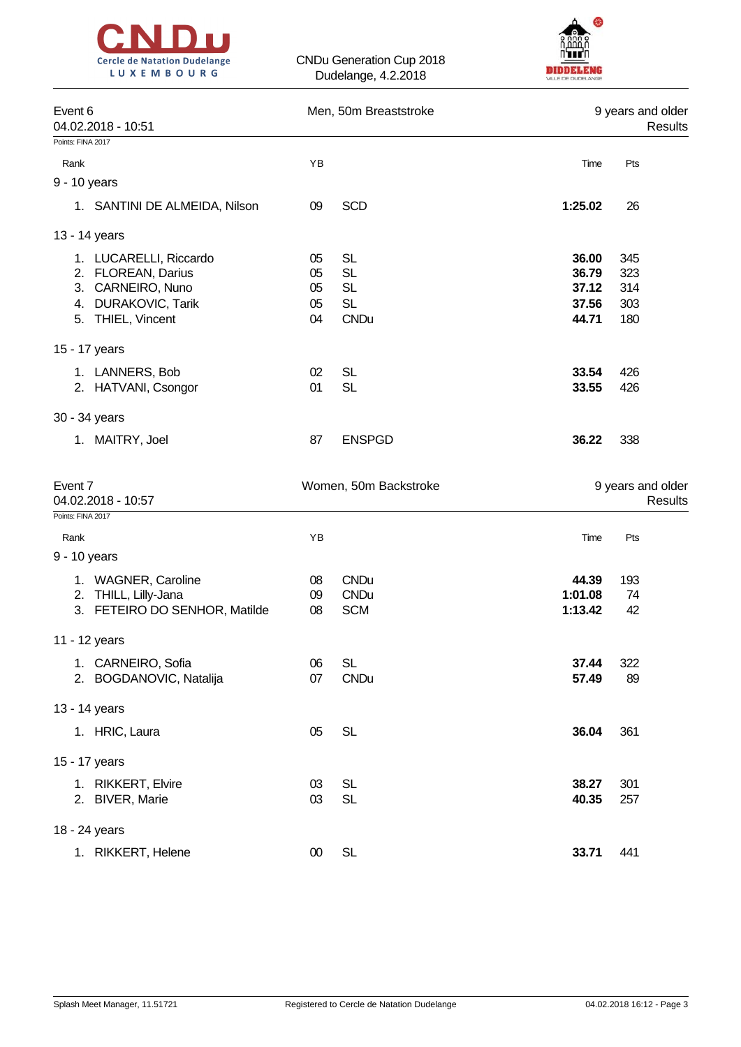



| Event 6<br>04.02.2018 - 10:51 |    | Men, 50m Breaststroke |         | 9 years and older<br>Results |
|-------------------------------|----|-----------------------|---------|------------------------------|
| Points: FINA 2017             |    |                       |         |                              |
| Rank                          | YB |                       | Time    | Pts                          |
| 9 - 10 years                  |    |                       |         |                              |
| 1. SANTINI DE ALMEIDA, Nilson | 09 | <b>SCD</b>            | 1:25.02 | 26                           |
| 13 - 14 years                 |    |                       |         |                              |
| 1. LUCARELLI, Riccardo        | 05 | <b>SL</b>             | 36.00   | 345                          |
| 2. FLOREAN, Darius            | 05 | <b>SL</b>             | 36.79   | 323                          |
| 3. CARNEIRO, Nuno             | 05 | <b>SL</b>             | 37.12   | 314                          |
| 4. DURAKOVIC, Tarik           | 05 | <b>SL</b>             | 37.56   | 303                          |
| 5. THIEL, Vincent             | 04 | <b>CNDu</b>           | 44.71   | 180                          |
| 15 - 17 years                 |    |                       |         |                              |
| 1. LANNERS, Bob               | 02 | <b>SL</b>             | 33.54   | 426                          |
| 2. HATVANI, Csongor           | 01 | <b>SL</b>             | 33.55   | 426                          |
| 30 - 34 years                 |    |                       |         |                              |
| 1. MAITRY, Joel               | 87 | <b>ENSPGD</b>         | 36.22   | 338                          |
| Event 7<br>04.02.2018 - 10:57 |    | Women, 50m Backstroke |         | 9 years and older<br>Results |
| Points: FINA 2017             |    |                       |         |                              |
| Rank                          | YB |                       | Time    | Pts                          |
| 9 - 10 years                  |    |                       |         |                              |
| 1. WAGNER, Caroline           | 08 | <b>CNDu</b>           | 44.39   | 193                          |
| 2. THILL, Lilly-Jana          | 09 | <b>CNDu</b>           | 1:01.08 | 74                           |
| 3. FETEIRO DO SENHOR, Matilde | 08 | <b>SCM</b>            | 1:13.42 | 42                           |
| 11 - 12 years                 |    |                       |         |                              |
| 1. CARNEIRO, Sofia            | 06 | <b>SL</b>             | 37.44   | 322                          |
| 2. BOGDANOVIC, Natalija       | 07 | <b>CNDu</b>           | 57.49   | 89                           |
| 13 - 14 years                 |    |                       |         |                              |
| 1. HRIC, Laura                | 05 | <b>SL</b>             | 36.04   | 361                          |
| 15 - 17 years                 |    |                       |         |                              |
| 1. RIKKERT, Elvire            | 03 | <b>SL</b>             | 38.27   | 301                          |
| 2. BIVER, Marie               |    |                       |         |                              |
|                               | 03 | <b>SL</b>             | 40.35   | 257                          |

1. RIKKERT, Helene 00 SL **33.71** 441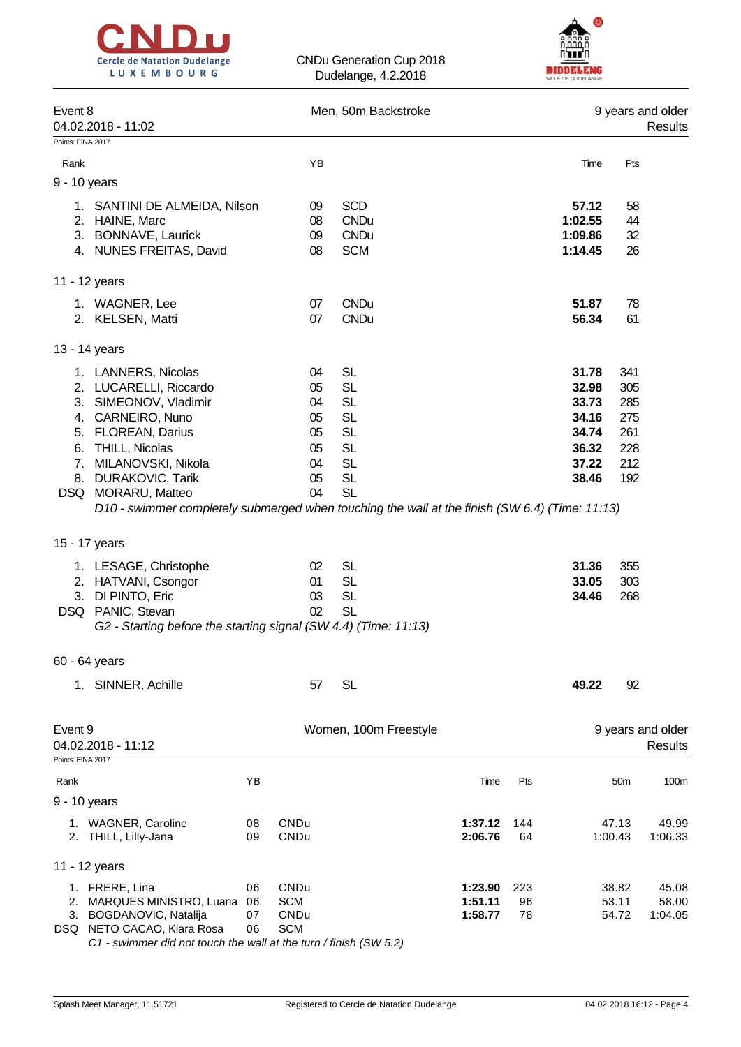



| Event 8           | 04.02.2018 - 11:02                                                                                                                                                                                                                                                                                                 |                      |                                                    | Men, 50m Backstroke                                                                                               |                               |                 |                                                                      |                                                      | 9 years and older<br>Results |
|-------------------|--------------------------------------------------------------------------------------------------------------------------------------------------------------------------------------------------------------------------------------------------------------------------------------------------------------------|----------------------|----------------------------------------------------|-------------------------------------------------------------------------------------------------------------------|-------------------------------|-----------------|----------------------------------------------------------------------|------------------------------------------------------|------------------------------|
| Points: FINA 2017 |                                                                                                                                                                                                                                                                                                                    |                      |                                                    |                                                                                                                   |                               |                 |                                                                      |                                                      |                              |
| Rank              |                                                                                                                                                                                                                                                                                                                    |                      | YB                                                 |                                                                                                                   |                               |                 | Time                                                                 | Pts                                                  |                              |
|                   | 9 - 10 years                                                                                                                                                                                                                                                                                                       |                      |                                                    |                                                                                                                   |                               |                 |                                                                      |                                                      |                              |
|                   | 1. SANTINI DE ALMEIDA, Nilson<br>2. HAINE, Marc<br>3. BONNAVE, Laurick<br>4. NUNES FREITAS, David                                                                                                                                                                                                                  |                      | 09<br>08<br>09<br>08                               | <b>SCD</b><br><b>CNDu</b><br><b>CNDu</b><br><b>SCM</b>                                                            |                               |                 | 57.12<br>1:02.55<br>1:09.86<br>1:14.45                               | 58<br>44<br>32<br>26                                 |                              |
|                   |                                                                                                                                                                                                                                                                                                                    |                      |                                                    |                                                                                                                   |                               |                 |                                                                      |                                                      |                              |
|                   | 11 - 12 years                                                                                                                                                                                                                                                                                                      |                      |                                                    |                                                                                                                   |                               |                 |                                                                      |                                                      |                              |
|                   | 1. WAGNER, Lee<br>2. KELSEN, Matti                                                                                                                                                                                                                                                                                 |                      | 07<br>07                                           | <b>CNDu</b><br><b>CNDu</b>                                                                                        |                               |                 | 51.87<br>56.34                                                       | 78<br>61                                             |                              |
|                   | 13 - 14 years                                                                                                                                                                                                                                                                                                      |                      |                                                    |                                                                                                                   |                               |                 |                                                                      |                                                      |                              |
| 6.                | 1. LANNERS, Nicolas<br>2. LUCARELLI, Riccardo<br>3. SIMEONOV, Vladimir<br>4. CARNEIRO, Nuno<br>5. FLOREAN, Darius<br><b>THILL, Nicolas</b><br>7. MILANOVSKI, Nikola<br>8. DURAKOVIC, Tarik<br>DSQ MORARU, Matteo<br>D10 - swimmer completely submerged when touching the wall at the finish (SW 6.4) (Time: 11:13) |                      | 04<br>05<br>04<br>05<br>05<br>05<br>04<br>05<br>04 | <b>SL</b><br><b>SL</b><br><b>SL</b><br><b>SL</b><br><b>SL</b><br><b>SL</b><br><b>SL</b><br><b>SL</b><br><b>SL</b> |                               |                 | 31.78<br>32.98<br>33.73<br>34.16<br>34.74<br>36.32<br>37.22<br>38.46 | 341<br>305<br>285<br>275<br>261<br>228<br>212<br>192 |                              |
|                   | 15 - 17 years                                                                                                                                                                                                                                                                                                      |                      |                                                    |                                                                                                                   |                               |                 |                                                                      |                                                      |                              |
|                   | 1. LESAGE, Christophe<br>2. HATVANI, Csongor<br>3. DI PINTO, Eric<br>DSQ PANIC, Stevan<br>G2 - Starting before the starting signal (SW 4.4) (Time: 11:13)                                                                                                                                                          |                      | 02<br>01<br>03<br>02                               | <b>SL</b><br><b>SL</b><br><b>SL</b><br><b>SL</b>                                                                  |                               |                 | 31.36<br>33.05<br>34.46                                              | 355<br>303<br>268                                    |                              |
|                   | 60 - 64 years                                                                                                                                                                                                                                                                                                      |                      |                                                    |                                                                                                                   |                               |                 |                                                                      |                                                      |                              |
|                   | 1. SINNER, Achille                                                                                                                                                                                                                                                                                                 |                      | 57                                                 | <b>SL</b>                                                                                                         |                               |                 | 49.22                                                                | 92                                                   |                              |
| Event 9           | 04.02.2018 - 11:12                                                                                                                                                                                                                                                                                                 |                      |                                                    | Women, 100m Freestyle                                                                                             |                               |                 |                                                                      |                                                      | 9 years and older<br>Results |
| Points: FINA 2017 |                                                                                                                                                                                                                                                                                                                    |                      |                                                    |                                                                                                                   |                               |                 |                                                                      |                                                      |                              |
| Rank              | 9 - 10 years                                                                                                                                                                                                                                                                                                       | YB                   |                                                    |                                                                                                                   | Time                          | Pts             |                                                                      | 50 <sub>m</sub>                                      | 100m                         |
|                   | 1. WAGNER, Caroline<br>2. THILL, Lilly-Jana                                                                                                                                                                                                                                                                        | 08<br>09             | CNDu<br>CNDu                                       |                                                                                                                   | 1:37.12<br>2:06.76            | 144<br>64       |                                                                      | 47.13<br>1:00.43                                     | 49.99<br>1:06.33             |
|                   | 11 - 12 years                                                                                                                                                                                                                                                                                                      |                      |                                                    |                                                                                                                   |                               |                 |                                                                      |                                                      |                              |
|                   | 1. FRERE, Lina<br>2. MARQUES MINISTRO, Luana<br>3. BOGDANOVIC, Natalija<br>DSQ NETO CACAO, Kiara Rosa                                                                                                                                                                                                              | 06<br>06<br>07<br>06 | CNDu<br><b>SCM</b><br>CNDu<br><b>SCM</b>           |                                                                                                                   | 1:23.90<br>1:51.11<br>1:58.77 | 223<br>96<br>78 |                                                                      | 38.82<br>53.11<br>54.72                              | 45.08<br>58.00<br>1:04.05    |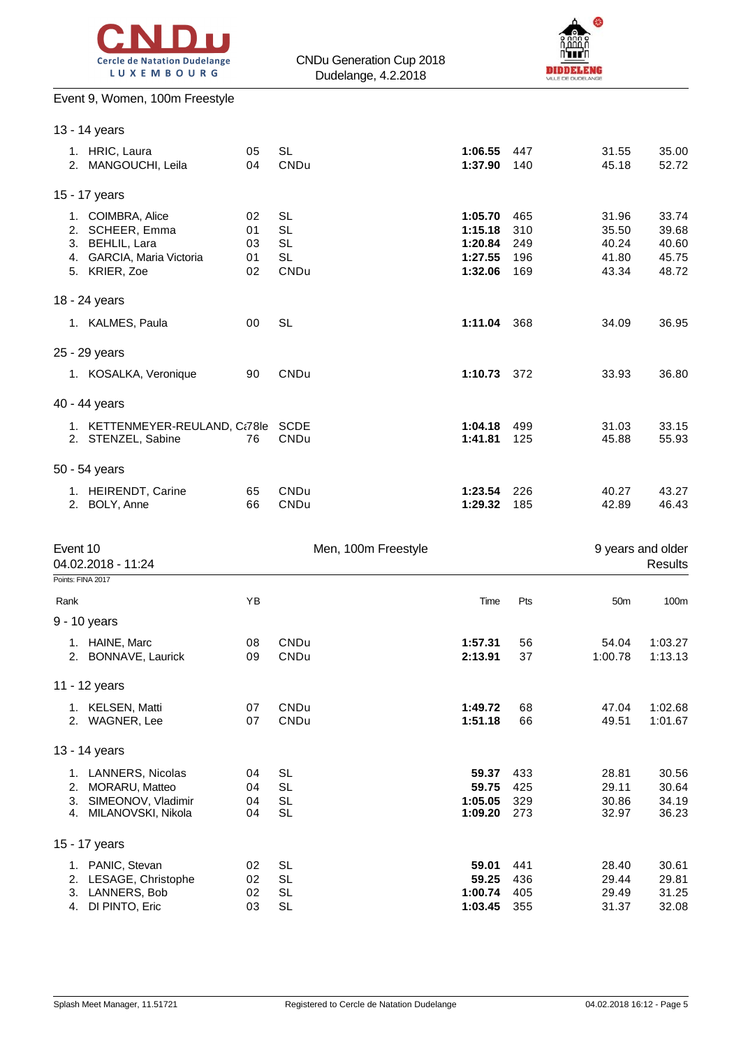



# Event 9, Women, 100m Freestyle

|                 | 13 - 14 years                                                                                         |                            |                                                          |                                                     |                                 |                                           |                                           |
|-----------------|-------------------------------------------------------------------------------------------------------|----------------------------|----------------------------------------------------------|-----------------------------------------------------|---------------------------------|-------------------------------------------|-------------------------------------------|
|                 | 1. HRIC, Laura<br>2. MANGOUCHI, Leila                                                                 | 05<br>04                   | <b>SL</b><br>CNDu                                        | 1:06.55<br>1:37.90                                  | 447<br>140                      | 31.55<br>45.18                            | 35.00<br>52.72                            |
|                 | 15 - 17 years                                                                                         |                            |                                                          |                                                     |                                 |                                           |                                           |
|                 | 1. COIMBRA, Alice<br>2. SCHEER, Emma<br>3. BEHLIL, Lara<br>4. GARCIA, Maria Victoria<br>5. KRIER, Zoe | 02<br>01<br>03<br>01<br>02 | <b>SL</b><br><b>SL</b><br><b>SL</b><br><b>SL</b><br>CNDu | 1:05.70<br>1:15.18<br>1:20.84<br>1:27.55<br>1:32.06 | 465<br>310<br>249<br>196<br>169 | 31.96<br>35.50<br>40.24<br>41.80<br>43.34 | 33.74<br>39.68<br>40.60<br>45.75<br>48.72 |
|                 | 18 - 24 years                                                                                         |                            |                                                          |                                                     |                                 |                                           |                                           |
|                 | 1. KALMES, Paula                                                                                      | 00                         | <b>SL</b>                                                | 1:11.04 368                                         |                                 | 34.09                                     | 36.95                                     |
|                 | 25 - 29 years                                                                                         |                            |                                                          |                                                     |                                 |                                           |                                           |
|                 | 1. KOSALKA, Veronique                                                                                 | 90                         | CNDu                                                     | 1:10.73 372                                         |                                 | 33.93                                     | 36.80                                     |
|                 | 40 - 44 years                                                                                         |                            |                                                          |                                                     |                                 |                                           |                                           |
|                 | 1. KETTENMEYER-REULAND, Ct78le SCDE<br>2. STENZEL, Sabine                                             | 76                         | CNDu                                                     | 1:04.18<br>1:41.81                                  | 499<br>125                      | 31.03<br>45.88                            | 33.15<br>55.93                            |
|                 | 50 - 54 years                                                                                         |                            |                                                          |                                                     |                                 |                                           |                                           |
|                 | 1. HEIRENDT, Carine<br>2. BOLY, Anne                                                                  | 65<br>66                   | CNDu<br>CNDu                                             | 1:23.54<br>1:29.32                                  | 226<br>185                      | 40.27<br>42.89                            | 43.27<br>46.43                            |
| Event 10        | 04.02.2018 - 11:24                                                                                    |                            | Men, 100m Freestyle                                      |                                                     |                                 |                                           | 9 years and older<br>Results              |
|                 | Points: FINA 2017                                                                                     |                            |                                                          |                                                     |                                 |                                           |                                           |
| Rank            | 9 - 10 years                                                                                          | YB                         |                                                          | Time                                                | Pts                             | 50 <sub>m</sub>                           | 100m                                      |
|                 | 1. HAINE, Marc<br>2. BONNAVE, Laurick                                                                 | 08<br>09                   | CNDu<br>CNDu                                             | 1:57.31<br>2:13.91                                  | 56<br>37                        | 54.04<br>1:00.78                          | 1:03.27<br>1:13.13                        |
|                 | 11 - 12 years                                                                                         |                            |                                                          |                                                     |                                 |                                           |                                           |
|                 | 1. KELSEN, Matti<br>2. WAGNER, Lee                                                                    | 07<br>07                   | CNDu<br>CNDu                                             | 1:49.72<br>1:51.18                                  | 68<br>66                        | 47.04<br>49.51                            | 1:02.68<br>1:01.67                        |
|                 | 13 - 14 years                                                                                         |                            |                                                          |                                                     |                                 |                                           |                                           |
|                 | 1. LANNERS, Nicolas<br>2. MORARU, Matteo<br>3. SIMEONOV, Vladimir<br>4. MILANOVSKI, Nikola            | 04<br>04<br>04<br>04       | SL<br><b>SL</b><br><b>SL</b><br><b>SL</b>                | 59.37<br>59.75<br>1:05.05<br>1:09.20                | 433<br>425<br>329<br>273        | 28.81<br>29.11<br>30.86<br>32.97          | 30.56<br>30.64<br>34.19<br>36.23          |
|                 | 15 - 17 years                                                                                         |                            |                                                          |                                                     |                                 |                                           |                                           |
| 3. LANNERS, Bob | 1. PANIC, Stevan<br>2. LESAGE, Christophe                                                             | 02<br>02                   | <b>SL</b><br><b>SL</b>                                   | 59.01<br>59.25                                      | 441<br>436                      | 28.40<br>29.44                            | 30.61<br>29.81                            |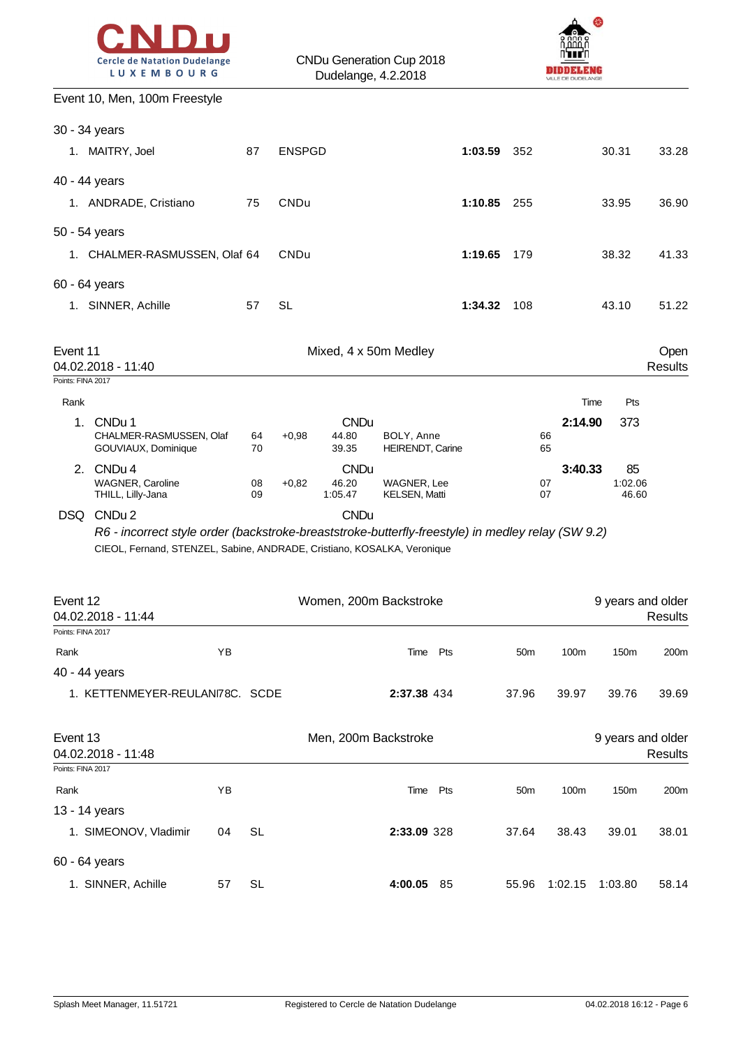



## Event 10, Men, 100m Freestyle

| 40 - 44 years                 |                                                                                                                                                                              |          |               |                                 |                                     |             |                 |                 |                  |                                     |
|-------------------------------|------------------------------------------------------------------------------------------------------------------------------------------------------------------------------|----------|---------------|---------------------------------|-------------------------------------|-------------|-----------------|-----------------|------------------|-------------------------------------|
| Rank                          | YB                                                                                                                                                                           |          |               |                                 | Pts<br>Time                         |             | 50 <sub>m</sub> | 100m            | 150 <sub>m</sub> | 200m                                |
| Event 12<br>Points: FINA 2017 | 04.02.2018 - 11:44                                                                                                                                                           |          |               |                                 | Women, 200m Backstroke              |             |                 |                 |                  | 9 years and older<br><b>Results</b> |
|                               | R6 - incorrect style order (backstroke-breaststroke-butterfly-freestyle) in medley relay (SW 9.2)<br>CIEOL, Fernand, STENZEL, Sabine, ANDRADE, Cristiano, KOSALKA, Veronique |          |               |                                 |                                     |             |                 |                 |                  |                                     |
|                               | <b>WAGNER, Caroline</b><br>THILL, Lilly-Jana<br>DSQ CNDu 2                                                                                                                   | 08<br>09 | $+0.82$       | 46.20<br>1:05.47<br><b>CNDu</b> | WAGNER, Lee<br><b>KELSEN, Matti</b> |             | 07<br>07        |                 | 1:02.06<br>46.60 |                                     |
|                               | CHALMER-RASMUSSEN, Olaf<br>GOUVIAUX, Dominique<br>2. CNDu 4                                                                                                                  | 64<br>70 | $+0.98$       | 44.80<br>39.35<br><b>CNDu</b>   | BOLY, Anne<br>HEIRENDT, Carine      |             | 66<br>65        | 3:40.33         | 85               |                                     |
| Rank<br>1.                    | CNDu 1                                                                                                                                                                       |          |               | <b>CNDu</b>                     |                                     |             |                 | Time<br>2:14.90 | Pts<br>373       |                                     |
| Event 11<br>Points: FINA 2017 | 04.02.2018 - 11:40                                                                                                                                                           |          |               | Mixed, 4 x 50m Medley           |                                     |             |                 |                 |                  | Open<br><b>Results</b>              |
| 60 - 64 years                 | 1. SINNER, Achille                                                                                                                                                           | 57       | <b>SL</b>     |                                 |                                     | 1:34.32     | 108             |                 | 43.10            | 51.22                               |
| 50 - 54 years                 | 1. CHALMER-RASMUSSEN, Olaf 64                                                                                                                                                |          | CNDu          |                                 |                                     | 1:19.65     | 179             |                 | 38.32            | 41.33                               |
| 40 - 44 years                 | 1. ANDRADE, Cristiano                                                                                                                                                        | 75       | CNDu          |                                 |                                     | 1:10.85 255 |                 |                 | 33.95            | 36.90                               |
| 30 - 34 years                 | 1. MAITRY, Joel                                                                                                                                                              | 87       | <b>ENSPGD</b> |                                 |                                     | 1:03.59     | 352             |                 | 30.31            | 33.28                               |
|                               | LVEIII IV, IVIEII, IVVIII I IEESIYIE                                                                                                                                         |          |               |                                 |                                     |             |                 |                 |                  |                                     |

1. KETTENMEYER-REULANI78C. SCDE **2:37.38** 434 37.96 39.97 39.76 39.69

| Event 13<br>04.02.2018 - 11:48 |    |           | Men, 200m Backstroke |     |                 |         |                  | 9 years and older<br><b>Results</b> |
|--------------------------------|----|-----------|----------------------|-----|-----------------|---------|------------------|-------------------------------------|
| Points: FINA 2017              |    |           |                      |     |                 |         |                  |                                     |
| Rank                           | ΥB |           | Time                 | Pts | 50 <sub>m</sub> | 100m    | 150 <sub>m</sub> | 200 <sub>m</sub>                    |
| 13 - 14 years                  |    |           |                      |     |                 |         |                  |                                     |
| 1. SIMEONOV, Vladimir          | 04 | <b>SL</b> | 2:33.09 328          |     | 37.64           | 38.43   | 39.01            | 38.01                               |
| 60 - 64 years                  |    |           |                      |     |                 |         |                  |                                     |
| 1. SINNER, Achille             | 57 | SL        | 4:00.05              | 85  | 55.96           | 1:02.15 | 1:03.80          | 58.14                               |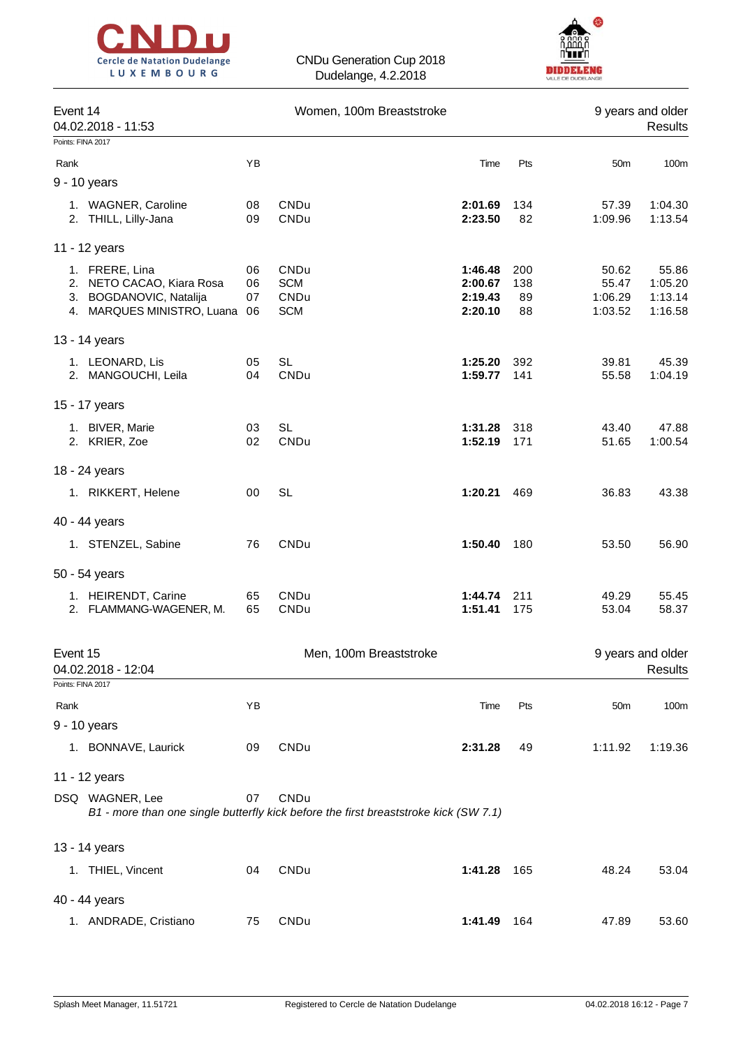



| Event 14<br>04.02.2018 - 11:53                                                                          |                | Women, 100m Breaststroke                                                                     |                                          |                        |                                      | 9 years and older<br><b>Results</b>    |
|---------------------------------------------------------------------------------------------------------|----------------|----------------------------------------------------------------------------------------------|------------------------------------------|------------------------|--------------------------------------|----------------------------------------|
| Points: FINA 2017                                                                                       |                |                                                                                              |                                          |                        |                                      |                                        |
| Rank                                                                                                    | YB             |                                                                                              | Time                                     | Pts                    | 50m                                  | 100m                                   |
| 9 - 10 years                                                                                            |                |                                                                                              |                                          |                        |                                      |                                        |
| 1. WAGNER, Caroline<br>2. THILL, Lilly-Jana                                                             | 08<br>09       | CNDu<br>CNDu                                                                                 | 2:01.69<br>2:23.50                       | 134<br>82              | 57.39<br>1:09.96                     | 1:04.30<br>1:13.54                     |
| 11 - 12 years                                                                                           |                |                                                                                              |                                          |                        |                                      |                                        |
| 1. FRERE, Lina<br>2. NETO CACAO, Kiara Rosa<br>3. BOGDANOVIC, Natalija<br>4. MARQUES MINISTRO, Luana 06 | 06<br>06<br>07 | CNDu<br><b>SCM</b><br>CNDu<br><b>SCM</b>                                                     | 1:46.48<br>2:00.67<br>2:19.43<br>2:20.10 | 200<br>138<br>89<br>88 | 50.62<br>55.47<br>1:06.29<br>1:03.52 | 55.86<br>1:05.20<br>1:13.14<br>1:16.58 |
| 13 - 14 years                                                                                           |                |                                                                                              |                                          |                        |                                      |                                        |
| 1. LEONARD, Lis<br>2. MANGOUCHI, Leila                                                                  | 05<br>04       | <b>SL</b><br>CNDu                                                                            | 1:25.20<br>1:59.77                       | 392<br>141             | 39.81<br>55.58                       | 45.39<br>1:04.19                       |
| 15 - 17 years                                                                                           |                |                                                                                              |                                          |                        |                                      |                                        |
| 1. BIVER, Marie<br>2. KRIER, Zoe                                                                        | 03<br>02       | <b>SL</b><br>CNDu                                                                            | 1:31.28<br>1:52.19                       | 318<br>171             | 43.40<br>51.65                       | 47.88<br>1:00.54                       |
| 18 - 24 years                                                                                           |                |                                                                                              |                                          |                        |                                      |                                        |
| 1. RIKKERT, Helene                                                                                      | 00             | <b>SL</b>                                                                                    | 1:20.21                                  | 469                    | 36.83                                | 43.38                                  |
| 40 - 44 years                                                                                           |                |                                                                                              |                                          |                        |                                      |                                        |
| 1. STENZEL, Sabine                                                                                      | 76             | CNDu                                                                                         | 1:50.40                                  | 180                    | 53.50                                | 56.90                                  |
| 50 - 54 years                                                                                           |                |                                                                                              |                                          |                        |                                      |                                        |
| 1. HEIRENDT, Carine<br>2. FLAMMANG-WAGENER, M.                                                          | 65<br>65       | CNDu<br>CNDu                                                                                 | 1:44.74<br>1:51.41                       | 211<br>175             | 49.29<br>53.04                       | 55.45<br>58.37                         |
| Event 15                                                                                                |                | Men, 100m Breaststroke                                                                       |                                          |                        |                                      | 9 years and older                      |
| 04.02.2018 - 12:04                                                                                      |                |                                                                                              |                                          |                        |                                      | Results                                |
| Points: FINA 2017                                                                                       |                |                                                                                              |                                          |                        |                                      |                                        |
| Rank                                                                                                    | YB             |                                                                                              | Time                                     | Pts                    | 50 <sub>m</sub>                      | 100m                                   |
| 9 - 10 years<br>1. BONNAVE, Laurick                                                                     | 09             | CNDu                                                                                         | 2:31.28                                  | 49                     | 1:11.92                              | 1:19.36                                |
|                                                                                                         |                |                                                                                              |                                          |                        |                                      |                                        |
| 11 - 12 years                                                                                           |                |                                                                                              |                                          |                        |                                      |                                        |
| DSQ WAGNER, Lee                                                                                         | 07             | CNDu<br>B1 - more than one single butterfly kick before the first breaststroke kick (SW 7.1) |                                          |                        |                                      |                                        |
| 13 - 14 years                                                                                           |                |                                                                                              |                                          |                        |                                      |                                        |
| 1. THIEL, Vincent                                                                                       | 04             | CNDu                                                                                         | 1:41.28                                  | 165                    | 48.24                                | 53.04                                  |
| 40 - 44 years                                                                                           |                |                                                                                              |                                          |                        |                                      |                                        |
| 1. ANDRADE, Cristiano                                                                                   | 75             | CNDu                                                                                         | 1:41.49                                  | 164                    | 47.89                                | 53.60                                  |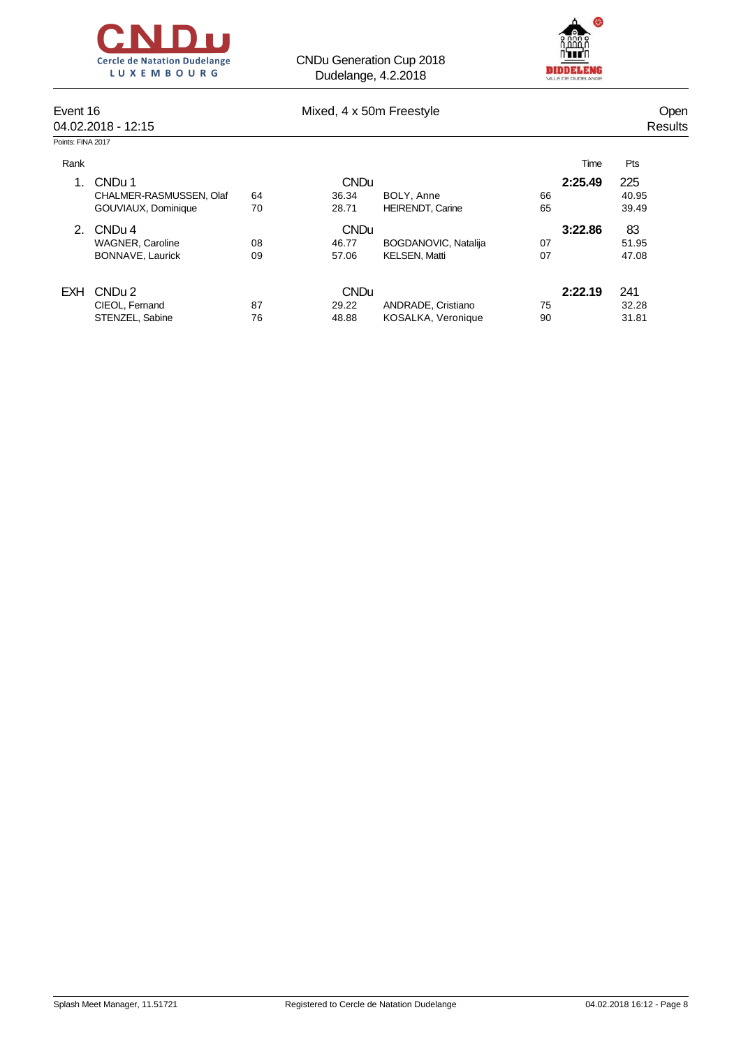



| Event 16          | 04.02.2018 - 12:15      |    | Mixed, 4 x 50m Freestyle |                         |    |         | <b>Open</b><br>Results |
|-------------------|-------------------------|----|--------------------------|-------------------------|----|---------|------------------------|
| Points: FINA 2017 |                         |    |                          |                         |    |         |                        |
| Rank              |                         |    |                          |                         |    | Time    | Pts                    |
| 1.                | CNDu 1                  |    | <b>CNDu</b>              |                         |    | 2:25.49 | 225                    |
|                   | CHALMER-RASMUSSEN, Olaf | 64 | 36.34                    | BOLY, Anne              | 66 |         | 40.95                  |
|                   | GOUVIAUX, Dominique     | 70 | 28.71                    | <b>HEIRENDT, Carine</b> | 65 |         | 39.49                  |
| 2.                | CNDu <sub>4</sub>       |    | <b>CNDu</b>              |                         |    | 3:22.86 | 83                     |
|                   | <b>WAGNER, Caroline</b> | 08 | 46.77                    | BOGDANOVIC, Natalija    | 07 |         | 51.95                  |
|                   | BONNAVE, Laurick        | 09 | 57.06                    | <b>KELSEN, Matti</b>    | 07 |         | 47.08                  |
| <b>EXH</b>        | CND <sub>u</sub> 2      |    | <b>CNDu</b>              |                         |    | 2:22.19 | 241                    |
|                   | CIEOL, Fernand          | 87 | 29.22                    | ANDRADE, Cristiano      | 75 |         | 32.28                  |
|                   | STENZEL, Sabine         | 76 | 48.88                    | KOSALKA, Veronique      | 90 |         | 31.81                  |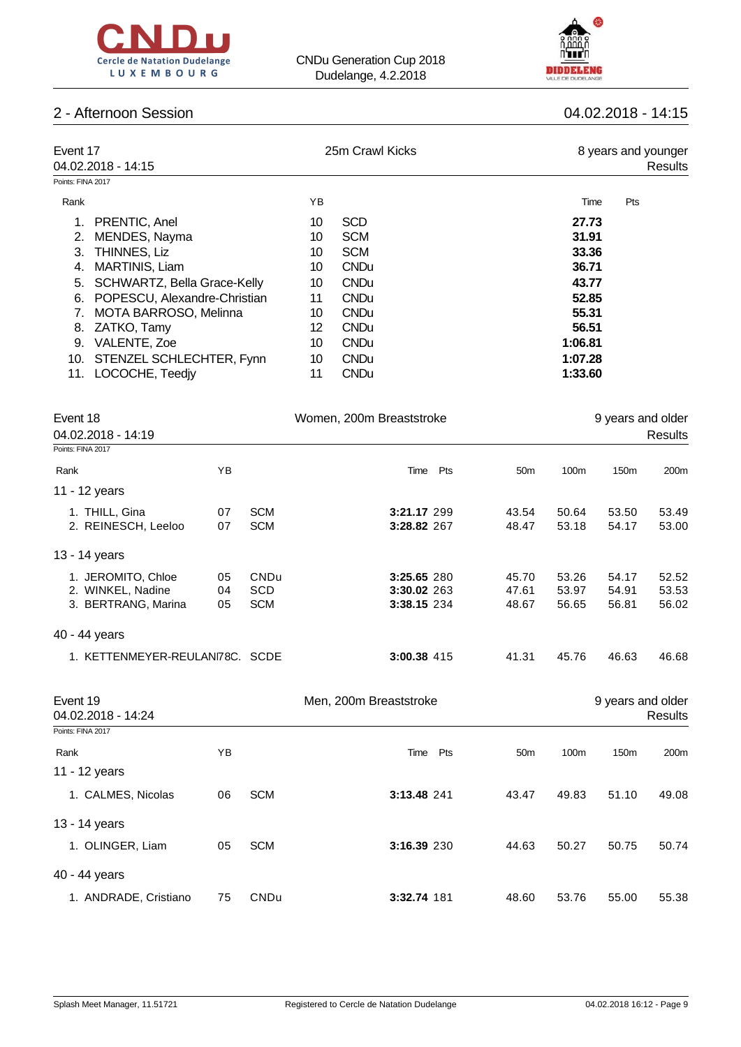



## 2 - Afternoon Session 04.02.2018 - 14:15

| Event 17                           | 25m Crawl Kicks   | 8 years and younger |
|------------------------------------|-------------------|---------------------|
| 04.02.2018 - 14:15                 |                   | Results             |
| Points: FINA 2017                  |                   |                     |
| Rank                               | ΥB                | Pts<br>Time         |
| PRENTIC, Anel<br>1.                | <b>SCD</b><br>10  | 27.73               |
| MENDES, Nayma<br>2.                | <b>SCM</b><br>10  | 31.91               |
| THINNES, Liz<br>3.                 | <b>SCM</b><br>10  | 33.36               |
| <b>MARTINIS, Liam</b><br>4.        | <b>CNDu</b><br>10 | 36.71               |
| SCHWARTZ, Bella Grace-Kelly<br>5.  | <b>CNDu</b><br>10 | 43.77               |
| POPESCU, Alexandre-Christian<br>6. | <b>CNDu</b><br>11 | 52.85               |
| MOTA BARROSO, Melinna              | <b>CNDu</b><br>10 | 55.31               |
| ZATKO, Tamy<br>8.                  | 12<br><b>CNDu</b> | 56.51               |
| VALENTE, Zoe<br>9.                 | <b>CNDu</b><br>10 | 1:06.81             |
| STENZEL SCHLECHTER, Fynn<br>10.    | 10<br><b>CNDu</b> | 1:07.28             |
| LOCOCHE, Teediy<br>11.             | <b>CNDu</b><br>11 | 1:33.60             |
|                                    |                   |                     |

| Event 18                                                       |                | Women, 200m Breaststroke                |                                           |                         | 9 years and older       |                         |                         |  |
|----------------------------------------------------------------|----------------|-----------------------------------------|-------------------------------------------|-------------------------|-------------------------|-------------------------|-------------------------|--|
| 04.02.2018 - 14:19                                             |                |                                         |                                           |                         |                         |                         | Results                 |  |
| Points: FINA 2017                                              |                |                                         |                                           |                         |                         |                         |                         |  |
| Rank                                                           | ΥB             |                                         | Pts<br>Time                               | 50 <sub>m</sub>         | 100m                    | 150 <sub>m</sub>        | 200m                    |  |
| 11 - 12 years                                                  |                |                                         |                                           |                         |                         |                         |                         |  |
| 1. THILL, Gina<br>2. REINESCH, Leeloo                          | 07<br>07       | <b>SCM</b><br><b>SCM</b>                | 3:21.17 299<br>3:28.82 267                | 43.54<br>48.47          | 50.64<br>53.18          | 53.50<br>54.17          | 53.49<br>53.00          |  |
| 13 - 14 years                                                  |                |                                         |                                           |                         |                         |                         |                         |  |
| 1. JEROMITO, Chloe<br>2. WINKEL, Nadine<br>3. BERTRANG, Marina | 05<br>04<br>05 | <b>CNDu</b><br><b>SCD</b><br><b>SCM</b> | 3:25.65 280<br>3:30.02 263<br>3:38.15 234 | 45.70<br>47.61<br>48.67 | 53.26<br>53.97<br>56.65 | 54.17<br>54.91<br>56.81 | 52.52<br>53.53<br>56.02 |  |
| 40 - 44 years                                                  |                |                                         |                                           |                         |                         |                         |                         |  |
| 1. KETTENMEYER-REULANI78C. SCDE                                |                |                                         | 3:00.38 415                               | 41.31                   | 45.76                   | 46.63                   | 46.68                   |  |

| Event 19<br>04.02.2018 - 14:24 |    |            | Men, 200m Breaststroke |     |                 |       | 9 years and older | Results          |
|--------------------------------|----|------------|------------------------|-----|-----------------|-------|-------------------|------------------|
| Points: FINA 2017              |    |            |                        |     |                 |       |                   |                  |
| Rank                           | ΥB |            | Time                   | Pts | 50 <sub>m</sub> | 100m  | 150 <sub>m</sub>  | 200 <sub>m</sub> |
| 11 - 12 years                  |    |            |                        |     |                 |       |                   |                  |
| 1. CALMES, Nicolas             | 06 | <b>SCM</b> | 3:13.48 241            |     | 43.47           | 49.83 | 51.10             | 49.08            |
| 13 - 14 years                  |    |            |                        |     |                 |       |                   |                  |
| 1. OLINGER, Liam               | 05 | <b>SCM</b> | 3:16.39 230            |     | 44.63           | 50.27 | 50.75             | 50.74            |
| 40 - 44 years                  |    |            |                        |     |                 |       |                   |                  |
| 1. ANDRADE, Cristiano          | 75 | CNDu       | 3:32.74 181            |     | 48.60           | 53.76 | 55.00             | 55.38            |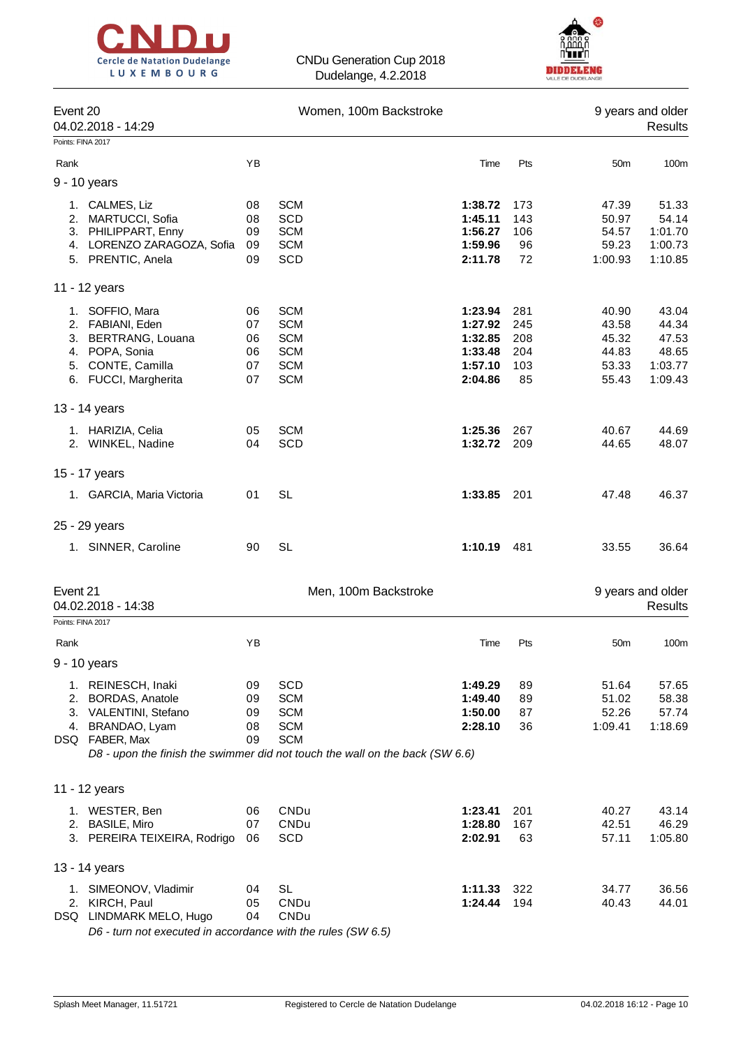



| Event 20<br>Points: FINA 2017 | 04.02.2018 - 14:29                                                                                                        |                                  | Women, 100m Backstroke                                                                                                                      |                                                                |                                       |                                                    | 9 years and older<br><b>Results</b>                    |
|-------------------------------|---------------------------------------------------------------------------------------------------------------------------|----------------------------------|---------------------------------------------------------------------------------------------------------------------------------------------|----------------------------------------------------------------|---------------------------------------|----------------------------------------------------|--------------------------------------------------------|
|                               |                                                                                                                           |                                  |                                                                                                                                             |                                                                |                                       |                                                    |                                                        |
| Rank                          |                                                                                                                           | YB                               |                                                                                                                                             | Time                                                           | Pts                                   | 50 <sub>m</sub>                                    | 100m                                                   |
|                               | 9 - 10 years                                                                                                              |                                  |                                                                                                                                             |                                                                |                                       |                                                    |                                                        |
|                               | 1. CALMES, Liz<br>2. MARTUCCI, Sofia<br>3. PHILIPPART, Enny<br>4. LORENZO ZARAGOZA, Sofia<br>5. PRENTIC, Anela            | 08<br>08<br>09<br>09<br>09       | <b>SCM</b><br><b>SCD</b><br><b>SCM</b><br><b>SCM</b><br>SCD                                                                                 | 1:38.72<br>1:45.11<br>1:56.27<br>1:59.96<br>2:11.78            | 173<br>143<br>106<br>96<br>72         | 47.39<br>50.97<br>54.57<br>59.23<br>1:00.93        | 51.33<br>54.14<br>1:01.70<br>1:00.73<br>1:10.85        |
|                               | 11 - 12 years                                                                                                             |                                  |                                                                                                                                             |                                                                |                                       |                                                    |                                                        |
|                               | 1. SOFFIO, Mara<br>2. FABIANI, Eden<br>3. BERTRANG, Louana<br>4. POPA, Sonia<br>5. CONTE, Camilla<br>6. FUCCI, Margherita | 06<br>07<br>06<br>06<br>07<br>07 | <b>SCM</b><br><b>SCM</b><br><b>SCM</b><br><b>SCM</b><br><b>SCM</b><br><b>SCM</b>                                                            | 1:23.94<br>1:27.92<br>1:32.85<br>1:33.48<br>1:57.10<br>2:04.86 | 281<br>245<br>208<br>204<br>103<br>85 | 40.90<br>43.58<br>45.32<br>44.83<br>53.33<br>55.43 | 43.04<br>44.34<br>47.53<br>48.65<br>1:03.77<br>1:09.43 |
|                               | 13 - 14 years                                                                                                             |                                  |                                                                                                                                             |                                                                |                                       |                                                    |                                                        |
|                               | 1. HARIZIA, Celia<br>2. WINKEL, Nadine                                                                                    | 05<br>04                         | <b>SCM</b><br>SCD                                                                                                                           | 1:25.36<br>1:32.72                                             | 267<br>209                            | 40.67<br>44.65                                     | 44.69<br>48.07                                         |
|                               | 15 - 17 years                                                                                                             |                                  |                                                                                                                                             |                                                                |                                       |                                                    |                                                        |
|                               | 1. GARCIA, Maria Victoria                                                                                                 | 01                               | <b>SL</b>                                                                                                                                   | 1:33.85                                                        | - 201                                 | 47.48                                              | 46.37                                                  |
|                               | 25 - 29 years                                                                                                             |                                  |                                                                                                                                             |                                                                |                                       |                                                    |                                                        |
|                               | 1. SINNER, Caroline                                                                                                       | 90                               | <b>SL</b>                                                                                                                                   | 1:10.19 481                                                    |                                       | 33.55                                              | 36.64                                                  |
| Event 21                      | 04.02.2018 - 14:38                                                                                                        |                                  | Men, 100m Backstroke                                                                                                                        |                                                                |                                       |                                                    | 9 years and older<br><b>Results</b>                    |
| Points: FINA 2017             |                                                                                                                           |                                  |                                                                                                                                             |                                                                |                                       |                                                    |                                                        |
| Rank                          |                                                                                                                           | ΥB                               |                                                                                                                                             | Time                                                           | Pts                                   | 50 <sub>m</sub>                                    | 100m                                                   |
|                               | 9 - 10 years                                                                                                              |                                  |                                                                                                                                             |                                                                |                                       |                                                    |                                                        |
| 2.                            | 1. REINESCH, Inaki<br><b>BORDAS, Anatole</b><br>3. VALENTINI, Stefano<br>4. BRANDAO, Lyam<br>DSQ FABER, Max               | 09<br>09<br>09<br>08<br>09       | SCD<br><b>SCM</b><br><b>SCM</b><br><b>SCM</b><br><b>SCM</b><br>D8 - upon the finish the swimmer did not touch the wall on the back (SW 6.6) | 1:49.29<br>1:49.40<br>1:50.00<br>2:28.10                       | 89<br>89<br>87<br>36                  | 51.64<br>51.02<br>52.26<br>1:09.41                 | 57.65<br>58.38<br>57.74<br>1:18.69                     |
|                               | 11 - 12 years                                                                                                             |                                  |                                                                                                                                             |                                                                |                                       |                                                    |                                                        |
|                               | 1. WESTER, Ben<br>2. BASILE, Miro<br>3. PEREIRA TEIXEIRA, Rodrigo                                                         | 06<br>07<br>06                   | CNDu<br>CNDu<br>SCD                                                                                                                         | 1:23.41<br>1:28.80<br>2:02.91                                  | 201<br>167<br>63                      | 40.27<br>42.51<br>57.11                            | 43.14<br>46.29<br>1:05.80                              |
|                               | 13 - 14 years                                                                                                             |                                  |                                                                                                                                             |                                                                |                                       |                                                    |                                                        |
|                               | 1. SIMEONOV, Vladimir<br>2. KIRCH, Paul<br>DSQ LINDMARK MELO, Hugo                                                        | 04<br>05<br>04                   | <b>SL</b><br>CNDu<br>CNDu                                                                                                                   | 1:11.33<br>1:24.44                                             | 322<br>194                            | 34.77<br>40.43                                     | 36.56<br>44.01                                         |

*D6 - turn not executed in accordance with the rules (SW 6.5)*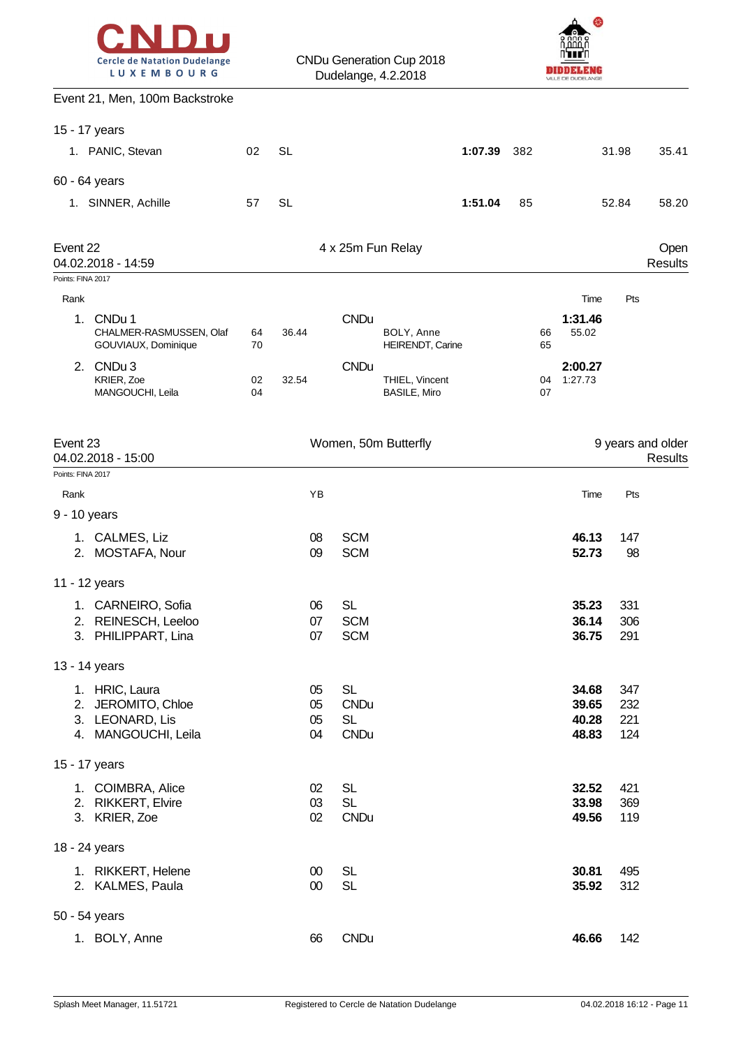|  | <b>Cercle de Natation Dudelange</b> |  |
|--|-------------------------------------|--|
|  | LUXEMBOURG                          |  |



| Event 21, Men, 100m Backstroke                                 |          |                  |                          |                                       |         |     |                                |            |                              |
|----------------------------------------------------------------|----------|------------------|--------------------------|---------------------------------------|---------|-----|--------------------------------|------------|------------------------------|
| 15 - 17 years                                                  |          |                  |                          |                                       |         |     |                                |            |                              |
| 1. PANIC, Stevan                                               | 02       | <b>SL</b>        |                          |                                       | 1:07.39 | 382 |                                | 31.98      | 35.41                        |
| 60 - 64 years                                                  |          |                  |                          |                                       |         |     |                                |            |                              |
| 1. SINNER, Achille                                             | 57       | <b>SL</b>        |                          |                                       | 1:51.04 | 85  |                                | 52.84      | 58.20                        |
|                                                                |          |                  |                          |                                       |         |     |                                |            |                              |
| Event 22<br>04.02.2018 - 14:59                                 |          |                  | 4 x 25m Fun Relay        |                                       |         |     |                                |            | Open<br>Results              |
| Points: FINA 2017                                              |          |                  |                          |                                       |         |     |                                |            |                              |
| Rank                                                           |          |                  |                          |                                       |         |     | Time                           | Pts        |                              |
| 1.<br>CNDu 1<br>CHALMER-RASMUSSEN, Olaf<br>GOUVIAUX, Dominique | 64<br>70 | 36.44            | <b>CNDu</b>              | BOLY, Anne<br>HEIRENDT, Carine        |         |     | 1:31.46<br>55.02<br>66<br>65   |            |                              |
| 2. CNDu 3<br>KRIER, Zoe<br>MANGOUCHI, Leila                    | 02<br>04 | 32.54            | <b>CNDu</b>              | THIEL, Vincent<br><b>BASILE, Miro</b> |         |     | 2:00.27<br>1:27.73<br>04<br>07 |            |                              |
| Event 23<br>04.02.2018 - 15:00                                 |          |                  |                          | Women, 50m Butterfly                  |         |     |                                |            | 9 years and older<br>Results |
| Points: FINA 2017                                              |          |                  |                          |                                       |         |     |                                |            |                              |
| Rank                                                           |          | YB               |                          |                                       |         |     | Time                           | Pts        |                              |
| 9 - 10 years                                                   |          |                  |                          |                                       |         |     |                                |            |                              |
| 1. CALMES, Liz<br>2. MOSTAFA, Nour                             |          | 08<br>09         | <b>SCM</b><br><b>SCM</b> |                                       |         |     | 46.13<br>52.73                 | 147<br>98  |                              |
| 11 - 12 years                                                  |          |                  |                          |                                       |         |     |                                |            |                              |
| 1. CARNEIRO, Sofia                                             |          | 06               | <b>SL</b>                |                                       |         |     | 35.23                          | 331        |                              |
| 2. REINESCH, Leeloo                                            |          | 07               | <b>SCM</b>               |                                       |         |     | 36.14                          | 306        |                              |
| 3. PHILIPPART, Lina                                            |          | 07               | <b>SCM</b>               |                                       |         |     | 36.75                          | 291        |                              |
| 13 - 14 years                                                  |          |                  |                          |                                       |         |     |                                |            |                              |
| 1. HRIC, Laura                                                 |          | 05               | <b>SL</b>                |                                       |         |     | 34.68                          | 347        |                              |
| 2. JEROMITO, Chloe<br>3. LEONARD, Lis                          |          | 05<br>05         | <b>CNDu</b><br><b>SL</b> |                                       |         |     | 39.65<br>40.28                 | 232<br>221 |                              |
| 4. MANGOUCHI, Leila                                            |          | 04               | <b>CNDu</b>              |                                       |         |     | 48.83                          | 124        |                              |
| 15 - 17 years                                                  |          |                  |                          |                                       |         |     |                                |            |                              |
| 1. COIMBRA, Alice                                              |          | 02               | <b>SL</b>                |                                       |         |     | 32.52                          | 421        |                              |
| 2. RIKKERT, Elvire<br>3. KRIER, Zoe                            |          | 03<br>02         | <b>SL</b><br><b>CNDu</b> |                                       |         |     | 33.98<br>49.56                 | 369<br>119 |                              |
| 18 - 24 years                                                  |          |                  |                          |                                       |         |     |                                |            |                              |
| 1. RIKKERT, Helene<br>2. KALMES, Paula                         |          | $00\,$<br>$00\,$ | <b>SL</b><br><b>SL</b>   |                                       |         |     | 30.81<br>35.92                 | 495<br>312 |                              |
| 50 - 54 years                                                  |          |                  |                          |                                       |         |     |                                |            |                              |
| 1. BOLY, Anne                                                  |          | 66               | <b>CNDu</b>              |                                       |         |     | 46.66                          | 142        |                              |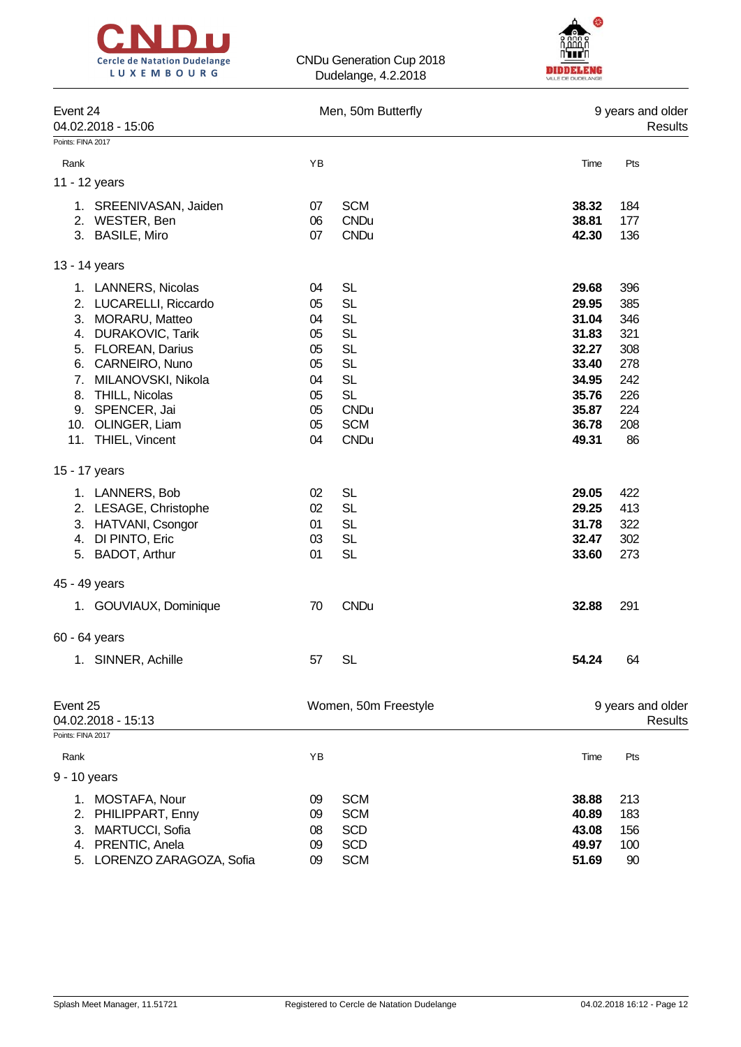



| Event 24<br>04.02.2018 - 15:06<br>Points: FINA 2017 | Men, 50m Butterfly   | 9 years and older<br>Results |  |  |
|-----------------------------------------------------|----------------------|------------------------------|--|--|
| Rank                                                | YB                   | Time<br>Pts                  |  |  |
| 11 - 12 years                                       |                      |                              |  |  |
|                                                     |                      |                              |  |  |
| 1. SREENIVASAN, Jaiden                              | <b>SCM</b><br>07     | 38.32<br>184                 |  |  |
| 2. WESTER, Ben                                      | <b>CNDu</b><br>06    | 38.81<br>177                 |  |  |
| 3. BASILE, Miro                                     | <b>CNDu</b><br>07    | 42.30<br>136                 |  |  |
| 13 - 14 years                                       |                      |                              |  |  |
| 1. LANNERS, Nicolas                                 | <b>SL</b><br>04      | 29.68<br>396                 |  |  |
| 2. LUCARELLI, Riccardo                              | <b>SL</b><br>05      | 29.95<br>385                 |  |  |
| 3.<br>MORARU, Matteo                                | <b>SL</b><br>04      | 31.04<br>346                 |  |  |
| 4. DURAKOVIC, Tarik                                 | <b>SL</b><br>05      | 31.83<br>321                 |  |  |
| 5. FLOREAN, Darius                                  | <b>SL</b><br>05      | 32.27<br>308                 |  |  |
| CARNEIRO, Nuno<br>6.                                | <b>SL</b><br>05      | 33.40<br>278                 |  |  |
| MILANOVSKI, Nikola<br>7.                            | <b>SL</b><br>04      | 34.95<br>242                 |  |  |
| THILL, Nicolas<br>8.                                | <b>SL</b><br>05      | 35.76<br>226                 |  |  |
| 9. SPENCER, Jai                                     | <b>CNDu</b><br>05    | 35.87<br>224                 |  |  |
| 10. OLINGER, Liam                                   | <b>SCM</b><br>05     | 36.78<br>208                 |  |  |
| 11. THIEL, Vincent                                  | <b>CNDu</b><br>04    | 49.31<br>86                  |  |  |
| 15 - 17 years                                       |                      |                              |  |  |
| 1. LANNERS, Bob                                     | <b>SL</b><br>02      | 29.05<br>422                 |  |  |
| 2. LESAGE, Christophe                               | <b>SL</b><br>02      | 29.25<br>413                 |  |  |
| 3. HATVANI, Csongor                                 | <b>SL</b><br>01      | 31.78<br>322                 |  |  |
| 4. DI PINTO, Eric                                   | <b>SL</b><br>03      | 32.47<br>302                 |  |  |
| 5. BADOT, Arthur                                    | <b>SL</b><br>01      | 33.60<br>273                 |  |  |
| 45 - 49 years                                       |                      |                              |  |  |
|                                                     |                      |                              |  |  |
| 1. GOUVIAUX, Dominique                              | <b>CNDu</b><br>70    | 32.88<br>291                 |  |  |
| 60 - 64 years                                       |                      |                              |  |  |
| 1. SINNER, Achille                                  | <b>SL</b><br>57      | 54.24<br>64                  |  |  |
|                                                     |                      |                              |  |  |
| Event 25<br>04.02.2018 - 15:13                      | Women, 50m Freestyle | 9 years and older<br>Results |  |  |
| Points: FINA 2017                                   |                      |                              |  |  |
| Rank                                                | ΥB                   | Time<br>Pts                  |  |  |
| 9 - 10 years                                        |                      |                              |  |  |

1. MOSTAFA, Nour 09 SCM **38.88** 213 2. PHILIPPART, Enny 09 SCM **40.89** 183 3. MARTUCCI, Sofia 08 SCD **43.08** 156 4. PRENTIC, Anela 09 SCD **49.97** 100 5. LORENZO ZARAGOZA, Sofia 09 SCM **51.69** 90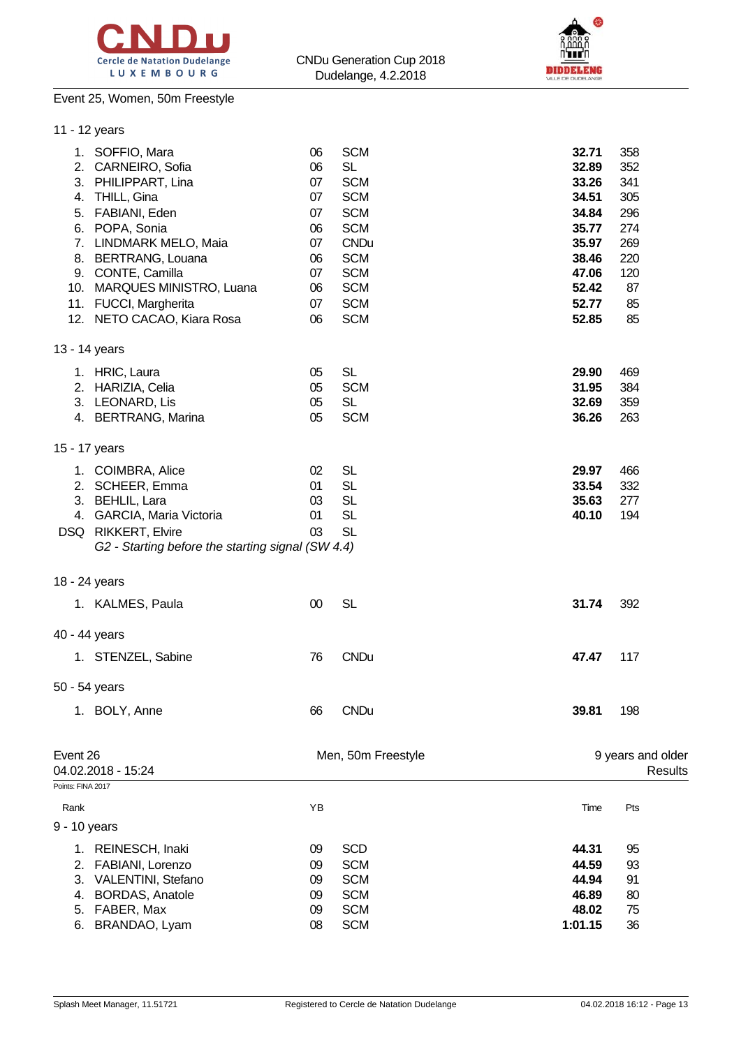



## Event 25, Women, 50m Freestyle

| 06<br>06<br>07<br>07<br>07<br>06<br>07<br>06<br>07<br>06<br>07<br>06 | <b>SCM</b><br><b>SL</b><br><b>SCM</b><br><b>SCM</b><br><b>SCM</b><br><b>SCM</b><br><b>CNDu</b><br><b>SCM</b><br><b>SCM</b><br><b>SCM</b><br><b>SCM</b><br><b>SCM</b> | 32.71<br>32.89<br>33.26<br>34.51<br>34.84<br>35.77<br>35.97<br>38.46<br>47.06<br>52.42<br>52.77<br>52.85 | 358<br>352<br>341<br>305<br>296<br>274<br>269<br>220<br>120<br>87<br>85<br>85 |                                |
|----------------------------------------------------------------------|----------------------------------------------------------------------------------------------------------------------------------------------------------------------|----------------------------------------------------------------------------------------------------------|-------------------------------------------------------------------------------|--------------------------------|
|                                                                      |                                                                                                                                                                      |                                                                                                          |                                                                               |                                |
| 05<br>05<br>05<br>05                                                 | <b>SL</b><br><b>SCM</b><br><b>SL</b><br><b>SCM</b>                                                                                                                   | 29.90<br>31.95<br>32.69<br>36.26                                                                         | 469<br>384<br>359<br>263                                                      |                                |
|                                                                      |                                                                                                                                                                      |                                                                                                          |                                                                               |                                |
| 02<br>01<br>03<br>01<br>03                                           | <b>SL</b><br><b>SL</b><br><b>SL</b><br><b>SL</b><br><b>SL</b>                                                                                                        | 29.97<br>33.54<br>35.63<br>40.10                                                                         | 466<br>332<br>277<br>194                                                      |                                |
|                                                                      |                                                                                                                                                                      |                                                                                                          |                                                                               |                                |
| 00                                                                   | <b>SL</b>                                                                                                                                                            | 31.74                                                                                                    | 392                                                                           |                                |
|                                                                      |                                                                                                                                                                      |                                                                                                          |                                                                               |                                |
| 76                                                                   | <b>CNDu</b>                                                                                                                                                          | 47.47                                                                                                    | 117                                                                           |                                |
|                                                                      |                                                                                                                                                                      |                                                                                                          |                                                                               |                                |
| 66                                                                   | <b>CNDu</b>                                                                                                                                                          | 39.81                                                                                                    | 198                                                                           |                                |
|                                                                      |                                                                                                                                                                      |                                                                                                          |                                                                               | Results                        |
|                                                                      |                                                                                                                                                                      |                                                                                                          |                                                                               |                                |
|                                                                      |                                                                                                                                                                      |                                                                                                          |                                                                               |                                |
| 09<br>09<br>09<br>09<br>09                                           | <b>SCD</b><br><b>SCM</b><br><b>SCM</b><br><b>SCM</b><br><b>SCM</b>                                                                                                   | 44.31<br>44.59<br>44.94<br>46.89<br>48.02                                                                | 95<br>93<br>91<br>80<br>75                                                    |                                |
|                                                                      | ΥB<br>08                                                                                                                                                             | G2 - Starting before the starting signal (SW 4.4)<br>Men, 50m Freestyle<br><b>SCM</b>                    | Time<br>1:01.15                                                               | 9 years and older<br>Pts<br>36 |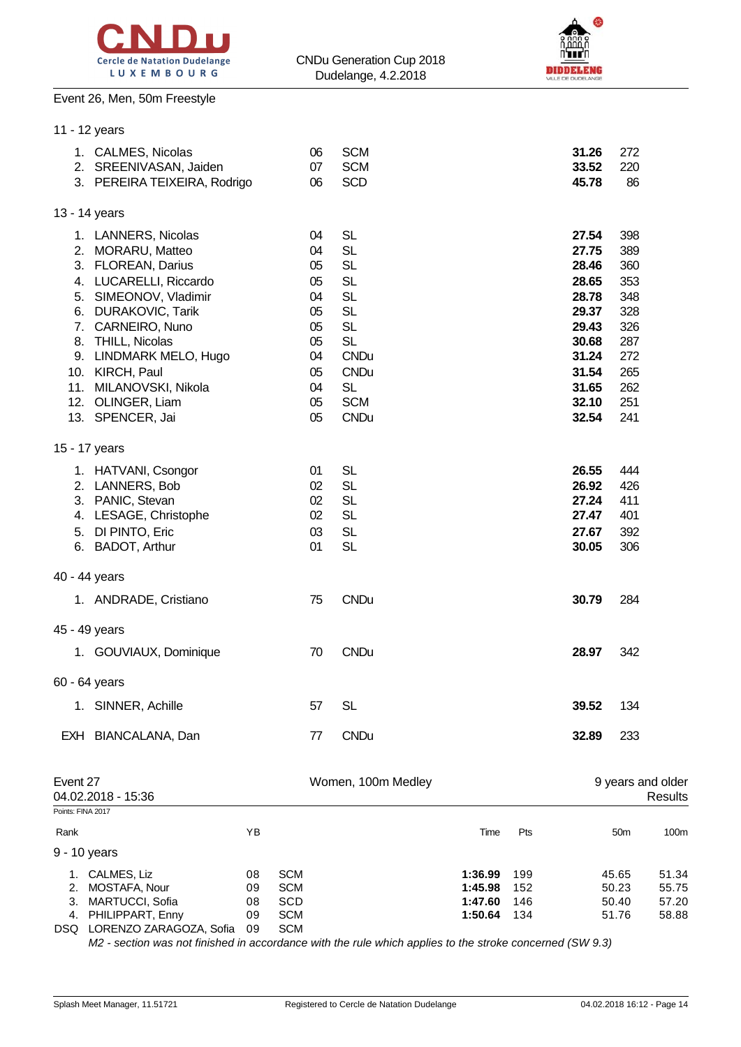

Event 26, Men, 50m Freestyle

11 - 12 years



| Rank                          |                                                        | ΥB |          |                          | Time | Pts |                | 50m               | 100 <sub>m</sub> |
|-------------------------------|--------------------------------------------------------|----|----------|--------------------------|------|-----|----------------|-------------------|------------------|
| Event 27<br>Points: FINA 2017 | 04.02.2018 - 15:36                                     |    |          | Women, 100m Medley       |      |     |                | 9 years and older | Results          |
| EXH                           | BIANCALANA, Dan                                        |    | 77       | <b>CNDu</b>              |      |     | 32.89          | 233               |                  |
|                               | 1. SINNER, Achille                                     |    | 57       | SL                       |      |     | 39.52          | 134               |                  |
| 60 - 64 years                 |                                                        |    |          |                          |      |     |                |                   |                  |
|                               | 1. GOUVIAUX, Dominique                                 |    | 70       | <b>CNDu</b>              |      |     | 28.97          | 342               |                  |
| 45 - 49 years                 |                                                        |    |          |                          |      |     |                |                   |                  |
|                               | 1. ANDRADE, Cristiano                                  |    | 75       | <b>CNDu</b>              |      |     | 30.79          | 284               |                  |
| 40 - 44 years                 |                                                        |    |          |                          |      |     |                |                   |                  |
|                               |                                                        |    |          |                          |      |     |                |                   |                  |
|                               | 6. BADOT, Arthur                                       |    | 01       | <b>SL</b>                |      |     | 30.05          | 306               |                  |
|                               | 4. LESAGE, Christophe<br>5. DI PINTO, Eric             |    | 02<br>03 | <b>SL</b><br><b>SL</b>   |      |     | 27.47<br>27.67 | 401<br>392        |                  |
|                               | 3. PANIC, Stevan                                       |    | 02       | <b>SL</b>                |      |     | 27.24          | 411               |                  |
|                               | 1. HATVANI, Csongor<br>2. LANNERS, Bob                 |    | 01<br>02 | <b>SL</b><br><b>SL</b>   |      |     | 26.55<br>26.92 | 444<br>426        |                  |
| 15 - 17 years                 |                                                        |    |          |                          |      |     |                |                   |                  |
|                               |                                                        |    |          |                          |      |     |                |                   |                  |
|                               | 13. SPENCER, Jai                                       |    | 05       | <b>CNDu</b>              |      |     | 32.54          | 241               |                  |
|                               | 11. MILANOVSKI, Nikola<br>12. OLINGER, Liam            |    | 04<br>05 | <b>SL</b><br><b>SCM</b>  |      |     | 31.65<br>32.10 | 262<br>251        |                  |
|                               | 10. KIRCH, Paul                                        |    | 05       | <b>CNDu</b>              |      |     | 31.54          | 265               |                  |
|                               | 9. LINDMARK MELO, Hugo                                 |    | 04       | <b>CNDu</b>              |      |     | 31.24          | 272               |                  |
|                               | 7. CARNEIRO, Nuno<br>8. THILL, Nicolas                 |    | 05<br>05 | <b>SL</b><br><b>SL</b>   |      |     | 29.43<br>30.68 | 326<br>287        |                  |
|                               | 6. DURAKOVIC, Tarik                                    |    | 05       | <b>SL</b>                |      |     | 29.37          | 328               |                  |
|                               | 5. SIMEONOV, Vladimir                                  |    | 04       | <b>SL</b>                |      |     | 28.78          | 348               |                  |
|                               | 4. LUCARELLI, Riccardo                                 |    | 05       | <b>SL</b>                |      |     | 28.65          | 353               |                  |
|                               | 2. MORARU, Matteo<br>3. FLOREAN, Darius                |    | 04<br>05 | <b>SL</b><br><b>SL</b>   |      |     | 27.75<br>28.46 | 389<br>360        |                  |
|                               | 1. LANNERS, Nicolas                                    |    | 04       | <b>SL</b>                |      |     | 27.54          | 398               |                  |
| 13 - 14 years                 |                                                        |    |          |                          |      |     |                |                   |                  |
|                               |                                                        |    |          |                          |      |     |                |                   |                  |
|                               | 2. SREENIVASAN, Jaiden<br>3. PEREIRA TEIXEIRA, Rodrigo |    | 07<br>06 | <b>SCM</b><br><b>SCD</b> |      |     | 33.52<br>45.78 | 220<br>86         |                  |
|                               | 1. CALMES, Nicolas                                     |    | 06       | <b>SCM</b>               |      |     | 31.26          | 272               |                  |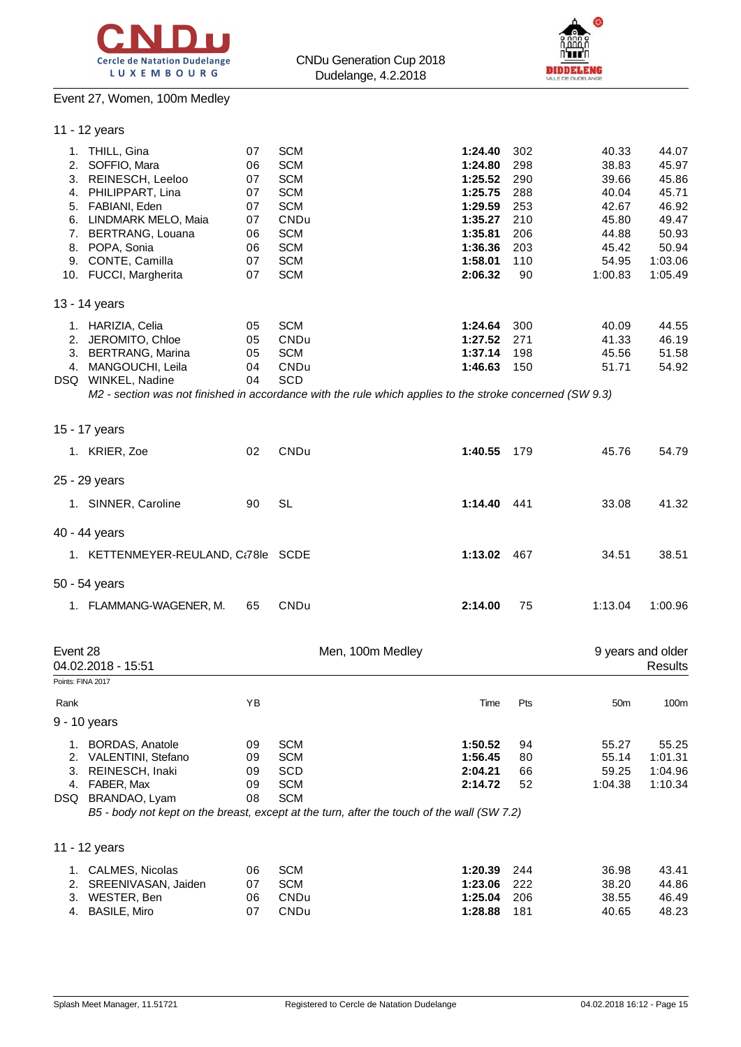



# Event 27, Women, 100m Medley

|                   | 11 - 12 years                                                                                                                                                                                                                         |                                                          |                                                                                                                                    |                  |                                                                                                            |                                                                   |                                                                                          |                                                                                            |
|-------------------|---------------------------------------------------------------------------------------------------------------------------------------------------------------------------------------------------------------------------------------|----------------------------------------------------------|------------------------------------------------------------------------------------------------------------------------------------|------------------|------------------------------------------------------------------------------------------------------------|-------------------------------------------------------------------|------------------------------------------------------------------------------------------|--------------------------------------------------------------------------------------------|
|                   | 1. THILL, Gina<br>2. SOFFIO, Mara<br>3. REINESCH, Leeloo<br>4. PHILIPPART, Lina<br>5. FABIANI, Eden<br>6. LINDMARK MELO, Maia<br>7. BERTRANG, Louana<br>8. POPA, Sonia<br>9. CONTE, Camilla<br>10. FUCCI, Margherita<br>13 - 14 years | 07<br>06<br>07<br>07<br>07<br>07<br>06<br>06<br>07<br>07 | <b>SCM</b><br><b>SCM</b><br><b>SCM</b><br><b>SCM</b><br><b>SCM</b><br>CNDu<br><b>SCM</b><br><b>SCM</b><br><b>SCM</b><br><b>SCM</b> |                  | 1:24.40<br>1:24.80<br>1:25.52<br>1:25.75<br>1:29.59<br>1:35.27<br>1:35.81<br>1:36.36<br>1:58.01<br>2:06.32 | 302<br>298<br>290<br>288<br>253<br>210<br>206<br>203<br>110<br>90 | 40.33<br>38.83<br>39.66<br>40.04<br>42.67<br>45.80<br>44.88<br>45.42<br>54.95<br>1:00.83 | 44.07<br>45.97<br>45.86<br>45.71<br>46.92<br>49.47<br>50.93<br>50.94<br>1:03.06<br>1:05.49 |
|                   | 1. HARIZIA, Celia                                                                                                                                                                                                                     | 05                                                       | <b>SCM</b>                                                                                                                         |                  | 1:24.64                                                                                                    | 300                                                               | 40.09                                                                                    | 44.55                                                                                      |
|                   | 2. JEROMITO, Chloe                                                                                                                                                                                                                    | 05                                                       | CNDu                                                                                                                               |                  | 1:27.52                                                                                                    | 271                                                               | 41.33                                                                                    | 46.19                                                                                      |
|                   | 3. BERTRANG, Marina                                                                                                                                                                                                                   | 05                                                       | <b>SCM</b>                                                                                                                         |                  | 1:37.14                                                                                                    | 198                                                               | 45.56                                                                                    | 51.58                                                                                      |
|                   | 4. MANGOUCHI, Leila                                                                                                                                                                                                                   | 04                                                       | CNDu                                                                                                                               |                  | 1:46.63                                                                                                    | 150                                                               | 51.71                                                                                    | 54.92                                                                                      |
|                   | DSQ WINKEL, Nadine                                                                                                                                                                                                                    | 04                                                       | <b>SCD</b>                                                                                                                         |                  |                                                                                                            |                                                                   |                                                                                          |                                                                                            |
|                   | M2 - section was not finished in accordance with the rule which applies to the stroke concerned (SW 9.3)                                                                                                                              |                                                          |                                                                                                                                    |                  |                                                                                                            |                                                                   |                                                                                          |                                                                                            |
|                   | 15 - 17 years                                                                                                                                                                                                                         |                                                          |                                                                                                                                    |                  |                                                                                                            |                                                                   |                                                                                          |                                                                                            |
|                   | 1. KRIER, Zoe                                                                                                                                                                                                                         | 02                                                       | CNDu                                                                                                                               |                  | 1:40.55                                                                                                    | 179                                                               | 45.76                                                                                    | 54.79                                                                                      |
|                   | 25 - 29 years                                                                                                                                                                                                                         |                                                          |                                                                                                                                    |                  |                                                                                                            |                                                                   |                                                                                          |                                                                                            |
|                   | 1. SINNER, Caroline                                                                                                                                                                                                                   | 90                                                       | <b>SL</b>                                                                                                                          |                  | 1:14.40 441                                                                                                |                                                                   | 33.08                                                                                    | 41.32                                                                                      |
|                   | 40 - 44 years                                                                                                                                                                                                                         |                                                          |                                                                                                                                    |                  |                                                                                                            |                                                                   |                                                                                          |                                                                                            |
|                   | 1. KETTENMEYER-REULAND, Ct78le SCDE                                                                                                                                                                                                   |                                                          |                                                                                                                                    |                  | 1:13.02                                                                                                    | 467                                                               | 34.51                                                                                    | 38.51                                                                                      |
|                   | 50 - 54 years                                                                                                                                                                                                                         |                                                          |                                                                                                                                    |                  |                                                                                                            |                                                                   |                                                                                          |                                                                                            |
|                   | 1. FLAMMANG-WAGENER, M.                                                                                                                                                                                                               | 65                                                       | CNDu                                                                                                                               |                  | 2:14.00                                                                                                    | 75                                                                | 1:13.04                                                                                  | 1:00.96                                                                                    |
| Event 28          |                                                                                                                                                                                                                                       |                                                          |                                                                                                                                    | Men, 100m Medley |                                                                                                            |                                                                   |                                                                                          | 9 years and older                                                                          |
|                   | 04.02.2018 - 15:51                                                                                                                                                                                                                    |                                                          |                                                                                                                                    |                  |                                                                                                            |                                                                   |                                                                                          | Results                                                                                    |
| Points: FINA 2017 |                                                                                                                                                                                                                                       |                                                          |                                                                                                                                    |                  |                                                                                                            |                                                                   |                                                                                          |                                                                                            |
| Rank              |                                                                                                                                                                                                                                       | ΥB                                                       |                                                                                                                                    |                  | Time                                                                                                       | Pts                                                               | 50 <sub>m</sub>                                                                          | 100m                                                                                       |
|                   | 9 - 10 years                                                                                                                                                                                                                          |                                                          |                                                                                                                                    |                  |                                                                                                            |                                                                   |                                                                                          |                                                                                            |
|                   | 1. BORDAS, Anatole                                                                                                                                                                                                                    | 09                                                       | <b>SCM</b>                                                                                                                         |                  | 1:50.52                                                                                                    | 94                                                                | 55.27                                                                                    | 55.25                                                                                      |
|                   | 2. VALENTINI, Stefano                                                                                                                                                                                                                 | 09                                                       | <b>SCM</b>                                                                                                                         |                  | 1:56.45                                                                                                    | 80                                                                | 55.14                                                                                    | 1:01.31                                                                                    |
|                   | 3. REINESCH, Inaki                                                                                                                                                                                                                    | 09                                                       | SCD                                                                                                                                |                  | 2:04.21                                                                                                    | 66                                                                | 59.25                                                                                    | 1:04.96                                                                                    |
|                   | 4. FABER, Max                                                                                                                                                                                                                         | 09                                                       | <b>SCM</b>                                                                                                                         |                  | 2:14.72                                                                                                    | 52                                                                | 1:04.38                                                                                  | 1:10.34                                                                                    |
|                   | DSQ BRANDAO, Lyam<br>B5 - body not kept on the breast, except at the turn, after the touch of the wall (SW 7.2)                                                                                                                       | 08                                                       | <b>SCM</b>                                                                                                                         |                  |                                                                                                            |                                                                   |                                                                                          |                                                                                            |
|                   | 11 - 12 years                                                                                                                                                                                                                         |                                                          |                                                                                                                                    |                  |                                                                                                            |                                                                   |                                                                                          |                                                                                            |
|                   | 1. CALMES, Nicolas                                                                                                                                                                                                                    | 06                                                       | <b>SCM</b>                                                                                                                         |                  | 1:20.39                                                                                                    | 244                                                               | 36.98                                                                                    | 43.41                                                                                      |
| 2.                | SREENIVASAN, Jaiden                                                                                                                                                                                                                   | 07                                                       | <b>SCM</b>                                                                                                                         |                  | 1:23.06                                                                                                    | 222                                                               | 38.20                                                                                    | 44.86                                                                                      |
| 3.                | WESTER, Ben                                                                                                                                                                                                                           | 06                                                       | CNDu                                                                                                                               |                  | 1:25.04                                                                                                    | 206                                                               | 38.55                                                                                    | 46.49                                                                                      |
|                   | 4. BASILE, Miro                                                                                                                                                                                                                       | 07                                                       | CNDu                                                                                                                               |                  | 1:28.88                                                                                                    | 181                                                               | 40.65                                                                                    | 48.23                                                                                      |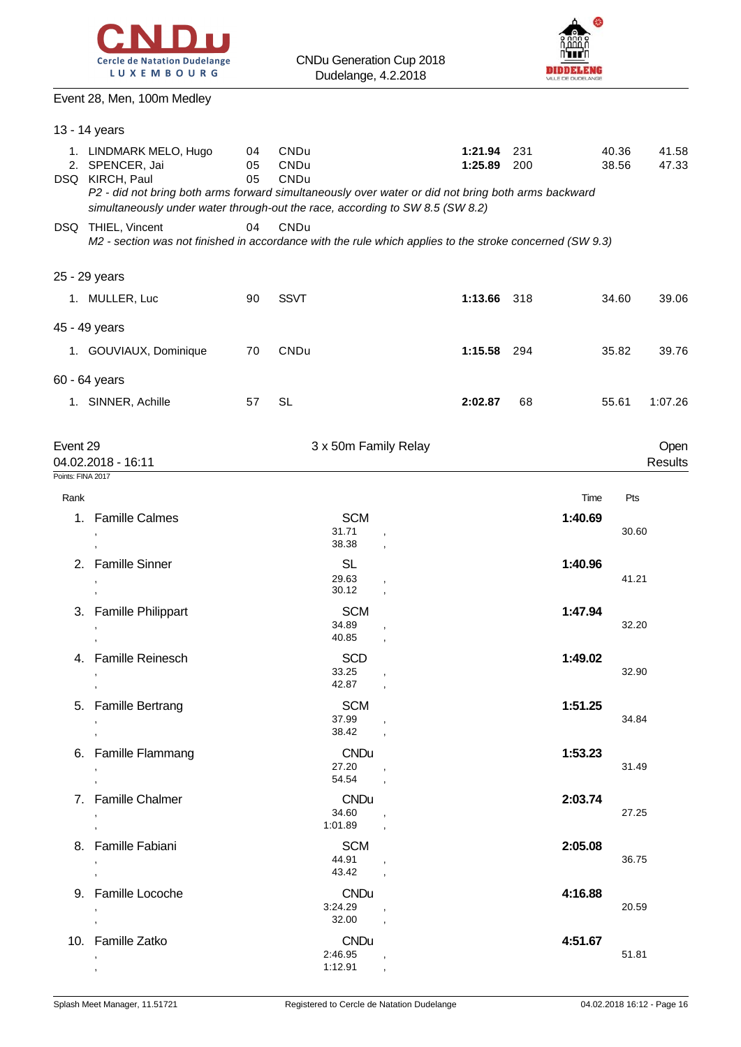



### Event 28, Men, 100m Medley

|                           | 13 - 14 years                                                                                                                                                                                                                                       |                |                                   |                                    |                    |            |         |                |                 |
|---------------------------|-----------------------------------------------------------------------------------------------------------------------------------------------------------------------------------------------------------------------------------------------------|----------------|-----------------------------------|------------------------------------|--------------------|------------|---------|----------------|-----------------|
|                           | 1. LINDMARK MELO, Hugo<br>2. SPENCER, Jai<br>DSQ KIRCH, Paul<br>P2 - did not bring both arms forward simultaneously over water or did not bring both arms backward<br>simultaneously under water through-out the race, according to SW 8.5 (SW 8.2) | 04<br>05<br>05 | CNDu<br>CNDu<br>CNDu              |                                    | 1:21.94<br>1:25.89 | 231<br>200 |         | 40.36<br>38.56 | 41.58<br>47.33  |
|                           | DSQ THIEL, Vincent<br>M2 - section was not finished in accordance with the rule which applies to the stroke concerned (SW 9.3)                                                                                                                      | 04             | CNDu                              |                                    |                    |            |         |                |                 |
|                           | 25 - 29 years                                                                                                                                                                                                                                       |                |                                   |                                    |                    |            |         |                |                 |
|                           | 1. MULLER, Luc                                                                                                                                                                                                                                      | 90             | <b>SSVT</b>                       |                                    | 1:13.66 318        |            |         | 34.60          | 39.06           |
|                           | 45 - 49 years                                                                                                                                                                                                                                       |                |                                   |                                    |                    |            |         |                |                 |
|                           | 1. GOUVIAUX, Dominique                                                                                                                                                                                                                              | 70             | CNDu                              |                                    | 1:15.58 294        |            |         | 35.82          | 39.76           |
|                           | 60 - 64 years                                                                                                                                                                                                                                       |                |                                   |                                    |                    |            |         |                |                 |
|                           | 1. SINNER, Achille                                                                                                                                                                                                                                  | 57             | SL                                |                                    | 2:02.87            | 68         |         | 55.61          | 1:07.26         |
| Event 29                  | 04.02.2018 - 16:11                                                                                                                                                                                                                                  |                |                                   | 3 x 50m Family Relay               |                    |            |         |                | Open<br>Results |
| Points: FINA 2017<br>Rank |                                                                                                                                                                                                                                                     |                |                                   |                                    |                    |            | Time    | Pts            |                 |
|                           | 1. Famille Calmes                                                                                                                                                                                                                                   |                | <b>SCM</b><br>31.71<br>38.38      |                                    |                    |            | 1:40.69 | 30.60          |                 |
|                           | 2. Famille Sinner                                                                                                                                                                                                                                   |                | <b>SL</b><br>29.63<br>30.12       |                                    |                    |            | 1:40.96 | 41.21          |                 |
|                           | 3. Famille Philippart                                                                                                                                                                                                                               |                | <b>SCM</b><br>34.89<br>40.85      |                                    |                    |            | 1:47.94 | 32.20          |                 |
|                           | 4. Famille Reinesch<br>$\,$<br>$\,$                                                                                                                                                                                                                 |                | <b>SCD</b><br>33.25<br>42.87,     |                                    |                    |            | 1:49.02 | 32.90          |                 |
|                           | 5. Famille Bertrang<br>$\mathbf{r}$                                                                                                                                                                                                                 |                | <b>SCM</b><br>37.99<br>38.42      | $\overline{ }$                     |                    |            | 1:51.25 | 34.84          |                 |
|                           | 6. Famille Flammang<br>$\,$<br>$\mathbf{r}$                                                                                                                                                                                                         |                | <b>CNDu</b><br>27.20<br>54.54     |                                    |                    |            | 1:53.23 | 31.49          |                 |
|                           | 7. Famille Chalmer<br>$\,$<br>$\sim$                                                                                                                                                                                                                |                | <b>CNDu</b><br>34.60<br>1:01.89   | $\overline{\phantom{a}}$           |                    |            | 2:03.74 | 27.25          |                 |
|                           | 8. Famille Fabiani<br>$\bullet$<br>$\sim$                                                                                                                                                                                                           |                | SCM<br>44.91,<br>43.42,           |                                    |                    |            | 2:05.08 | 36.75          |                 |
|                           | 9. Famille Locoche<br>$\bullet$<br>$^\mathrm{''}$                                                                                                                                                                                                   |                | <b>CNDu</b><br>3:24.29<br>32.00   | $\overline{\phantom{a}}$<br>$\sim$ |                    |            | 4:16.88 | 20.59          |                 |
|                           | 10. Famille Zatko<br>$\,$                                                                                                                                                                                                                           |                | <b>CNDu</b><br>2:46.95<br>1:12.91 | $\overline{\phantom{a}}$           |                    |            | 4:51.67 | 51.81          |                 |